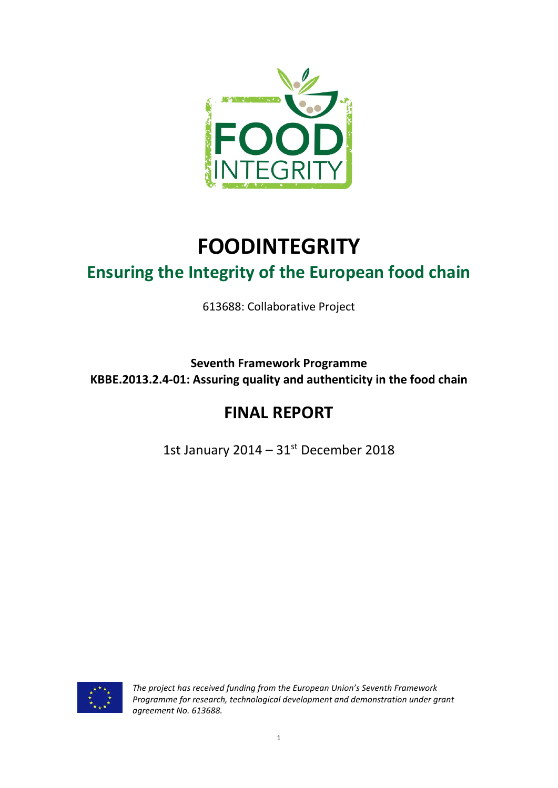

# **FOODINTEGRITY Ensuring the Integrity of the European food chain**

613688: Collaborative Project

**Seventh Framework Programme KBBE.2013.2.4-01: Assuring quality and authenticity in the food chain**

# **FINAL REPORT**

1st January 2014 –  $31<sup>st</sup>$  December 2018



*The project has received funding from the European Union's Seventh Framework Programme for research, technological development and demonstration under grant agreement No. 613688.*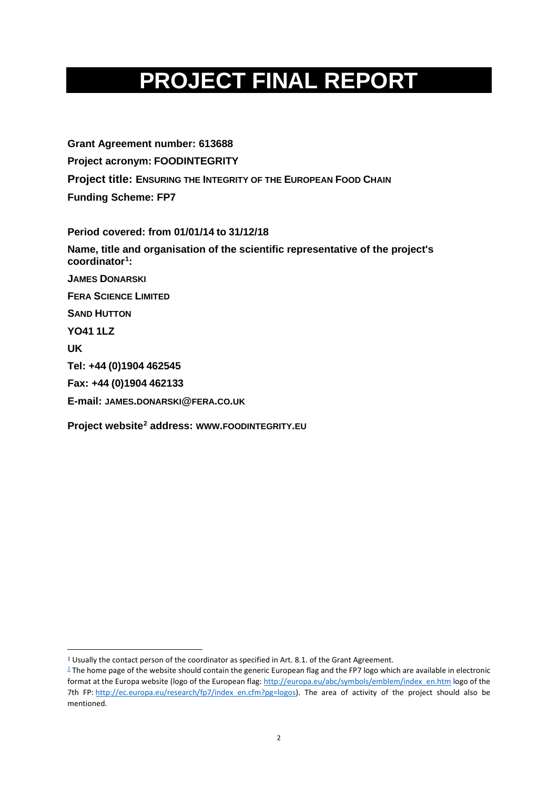# **PROJECT FINAL REPORT**

**Grant Agreement number: 613688 Project acronym: FOODINTEGRITY Project title: ENSURING THE INTEGRITY OF THE EUROPEAN FOOD CHAIN Funding Scheme: FP7**

**Period covered: from 01/01/14 to 31/12/18 Name, title and organisation of the scientific representative of the project's coordinator[1](#page-1-0) : JAMES DONARSKI FERA SCIENCE LIMITED SAND HUTTON YO41 1LZ UK Tel: +44 (0)1904 462545 Fax: +44 (0)1904 462133 E-mail: JAMES.DONARSKI@FERA.CO.UK Project website[2](#page-1-1) address: WWW.FOODINTEGRITY.EU**

<span id="page-1-0"></span><sup>&</sup>lt;sup>1</sup> Usually the contact person of the coordinator as specified in Art. 8.1. of the Grant Agreement.

<span id="page-1-1"></span> $2$  The home page of the website should contain the generic European flag and the FP7 logo which are available in electronic format at the Europa website (logo of the European flag[: http://europa.eu/abc/symbols/emblem/index\\_en.htm](http://europa.eu/abc/symbols/emblem/index_en.htm) logo of the 7th FP: [http://ec.europa.eu/research/fp7/index\\_en.cfm?pg=logos\)](http://ec.europa.eu/research/fp7/index_en.cfm?pg=logos). The area of activity of the project should also be mentioned.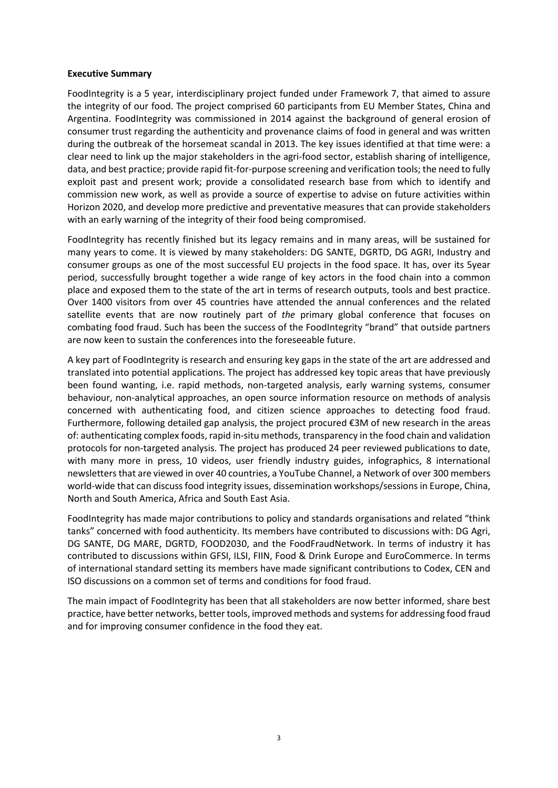#### **Executive Summary**

FoodIntegrity is a 5 year, interdisciplinary project funded under Framework 7, that aimed to assure the integrity of our food. The project comprised 60 participants from EU Member States, China and Argentina. FoodIntegrity was commissioned in 2014 against the background of general erosion of consumer trust regarding the authenticity and provenance claims of food in general and was written during the outbreak of the horsemeat scandal in 2013. The key issues identified at that time were: a clear need to link up the major stakeholders in the agri-food sector, establish sharing of intelligence, data, and best practice; provide rapid fit-for-purpose screening and verification tools; the need to fully exploit past and present work; provide a consolidated research base from which to identify and commission new work, as well as provide a source of expertise to advise on future activities within Horizon 2020, and develop more predictive and preventative measures that can provide stakeholders with an early warning of the integrity of their food being compromised.

FoodIntegrity has recently finished but its legacy remains and in many areas, will be sustained for many years to come. It is viewed by many stakeholders: DG SANTE, DGRTD, DG AGRI, Industry and consumer groups as one of the most successful EU projects in the food space. It has, over its 5year period, successfully brought together a wide range of key actors in the food chain into a common place and exposed them to the state of the art in terms of research outputs, tools and best practice. Over 1400 visitors from over 45 countries have attended the annual conferences and the related satellite events that are now routinely part of *the* primary global conference that focuses on combating food fraud. Such has been the success of the FoodIntegrity "brand" that outside partners are now keen to sustain the conferences into the foreseeable future.

A key part of FoodIntegrity is research and ensuring key gaps in the state of the art are addressed and translated into potential applications. The project has addressed key topic areas that have previously been found wanting, i.e. rapid methods, non-targeted analysis, early warning systems, consumer behaviour, non-analytical approaches, an open source information resource on methods of analysis concerned with authenticating food, and citizen science approaches to detecting food fraud. Furthermore, following detailed gap analysis, the project procured €3M of new research in the areas of: authenticating complex foods, rapid in-situ methods, transparency in the food chain and validation protocols for non-targeted analysis. The project has produced 24 peer reviewed publications to date, with many more in press, 10 videos, user friendly industry guides, infographics, 8 international newsletters that are viewed in over 40 countries, a YouTube Channel, a Network of over 300 members world-wide that can discuss food integrity issues, dissemination workshops/sessions in Europe, China, North and South America, Africa and South East Asia.

FoodIntegrity has made major contributions to policy and standards organisations and related "think tanks" concerned with food authenticity. Its members have contributed to discussions with: DG Agri, DG SANTE, DG MARE, DGRTD, FOOD2030, and the FoodFraudNetwork. In terms of industry it has contributed to discussions within GFSI, ILSI, FIIN, Food & Drink Europe and EuroCommerce. In terms of international standard setting its members have made significant contributions to Codex, CEN and ISO discussions on a common set of terms and conditions for food fraud.

The main impact of FoodIntegrity has been that all stakeholders are now better informed, share best practice, have better networks, better tools, improved methods and systems for addressing food fraud and for improving consumer confidence in the food they eat.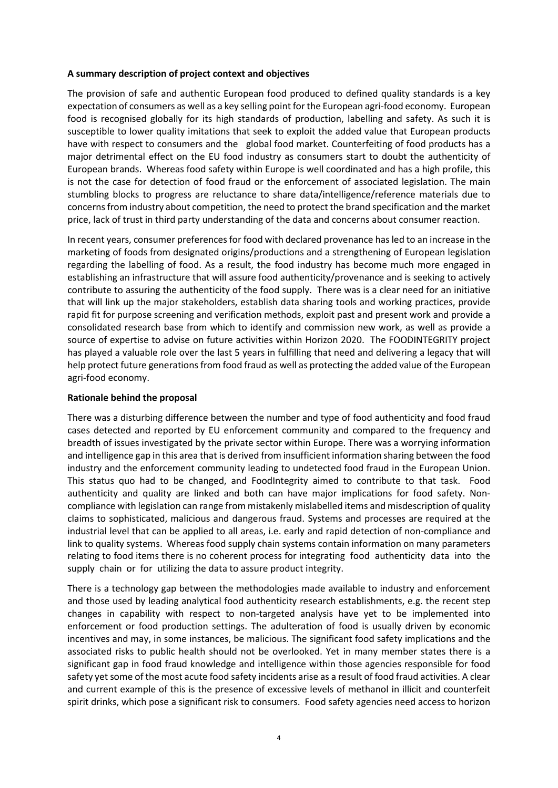#### **A summary description of project context and objectives**

The provision of safe and authentic European food produced to defined quality standards is a key expectation of consumers as well as a key selling point for the European agri-food economy. European food is recognised globally for its high standards of production, labelling and safety. As such it is susceptible to lower quality imitations that seek to exploit the added value that European products have with respect to consumers and the global food market. Counterfeiting of food products has a major detrimental effect on the EU food industry as consumers start to doubt the authenticity of European brands. Whereas food safety within Europe is well coordinated and has a high profile, this is not the case for detection of food fraud or the enforcement of associated legislation. The main stumbling blocks to progress are reluctance to share data/intelligence/reference materials due to concerns from industry about competition, the need to protect the brand specification and the market price, lack of trust in third party understanding of the data and concerns about consumer reaction.

In recent years, consumer preferences for food with declared provenance has led to an increase in the marketing of foods from designated origins/productions and a strengthening of European legislation regarding the labelling of food. As a result, the food industry has become much more engaged in establishing an infrastructure that will assure food authenticity/provenance and is seeking to actively contribute to assuring the authenticity of the food supply. There was is a clear need for an initiative that will link up the major stakeholders, establish data sharing tools and working practices, provide rapid fit for purpose screening and verification methods, exploit past and present work and provide a consolidated research base from which to identify and commission new work, as well as provide a source of expertise to advise on future activities within Horizon 2020. The FOODINTEGRITY project has played a valuable role over the last 5 years in fulfilling that need and delivering a legacy that will help protect future generations from food fraud as well as protecting the added value of the European agri-food economy.

#### **Rationale behind the proposal**

There was a disturbing difference between the number and type of food authenticity and food fraud cases detected and reported by EU enforcement community and compared to the frequency and breadth of issues investigated by the private sector within Europe. There was a worrying information and intelligence gap in this area that is derived from insufficient information sharing between the food industry and the enforcement community leading to undetected food fraud in the European Union. This status quo had to be changed, and FoodIntegrity aimed to contribute to that task. Food authenticity and quality are linked and both can have major implications for food safety. Noncompliance with legislation can range from mistakenly mislabelled items and misdescription of quality claims to sophisticated, malicious and dangerous fraud. Systems and processes are required at the industrial level that can be applied to all areas, i.e. early and rapid detection of non-compliance and link to quality systems. Whereas food supply chain systems contain information on many parameters relating to food items there is no coherent process for integrating food authenticity data into the supply chain or for utilizing the data to assure product integrity.

There is a technology gap between the methodologies made available to industry and enforcement and those used by leading analytical food authenticity research establishments, e.g. the recent step changes in capability with respect to non-targeted analysis have yet to be implemented into enforcement or food production settings. The adulteration of food is usually driven by economic incentives and may, in some instances, be malicious. The significant food safety implications and the associated risks to public health should not be overlooked. Yet in many member states there is a significant gap in food fraud knowledge and intelligence within those agencies responsible for food safety yet some of the most acute food safety incidents arise as a result of food fraud activities. A clear and current example of this is the presence of excessive levels of methanol in illicit and counterfeit spirit drinks, which pose a significant risk to consumers. Food safety agencies need access to horizon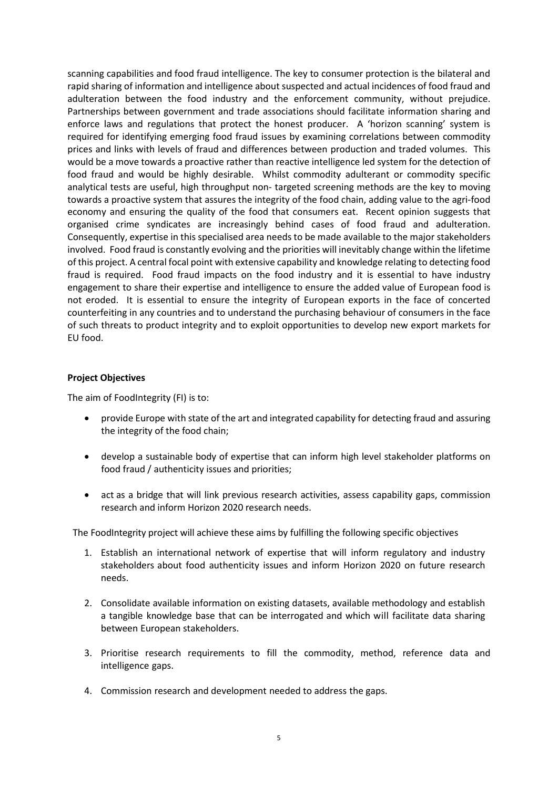scanning capabilities and food fraud intelligence. The key to consumer protection is the bilateral and rapid sharing of information and intelligence about suspected and actual incidences of food fraud and adulteration between the food industry and the enforcement community, without prejudice. Partnerships between government and trade associations should facilitate information sharing and enforce laws and regulations that protect the honest producer. A 'horizon scanning' system is required for identifying emerging food fraud issues by examining correlations between commodity prices and links with levels of fraud and differences between production and traded volumes. This would be a move towards a proactive rather than reactive intelligence led system for the detection of food fraud and would be highly desirable. Whilst commodity adulterant or commodity specific analytical tests are useful, high throughput non- targeted screening methods are the key to moving towards a proactive system that assures the integrity of the food chain, adding value to the agri-food economy and ensuring the quality of the food that consumers eat. Recent opinion suggests that organised crime syndicates are increasingly behind cases of food fraud and adulteration. Consequently, expertise in this specialised area needs to be made available to the major stakeholders involved. Food fraud is constantly evolving and the priorities will inevitably change within the lifetime of this project. A central focal point with extensive capability and knowledge relating to detecting food fraud is required. Food fraud impacts on the food industry and it is essential to have industry engagement to share their expertise and intelligence to ensure the added value of European food is not eroded. It is essential to ensure the integrity of European exports in the face of concerted counterfeiting in any countries and to understand the purchasing behaviour of consumers in the face of such threats to product integrity and to exploit opportunities to develop new export markets for EU food.

#### **Project Objectives**

The aim of FoodIntegrity (FI) is to:

- provide Europe with state of the art and integrated capability for detecting fraud and assuring the integrity of the food chain;
- develop a sustainable body of expertise that can inform high level stakeholder platforms on food fraud / authenticity issues and priorities;
- act as a bridge that will link previous research activities, assess capability gaps, commission research and inform Horizon 2020 research needs.

The FoodIntegrity project will achieve these aims by fulfilling the following specific objectives

- 1. Establish an international network of expertise that will inform regulatory and industry stakeholders about food authenticity issues and inform Horizon 2020 on future research needs.
- 2. Consolidate available information on existing datasets, available methodology and establish a tangible knowledge base that can be interrogated and which will facilitate data sharing between European stakeholders.
- 3. Prioritise research requirements to fill the commodity, method, reference data and intelligence gaps.
- 4. Commission research and development needed to address the gaps.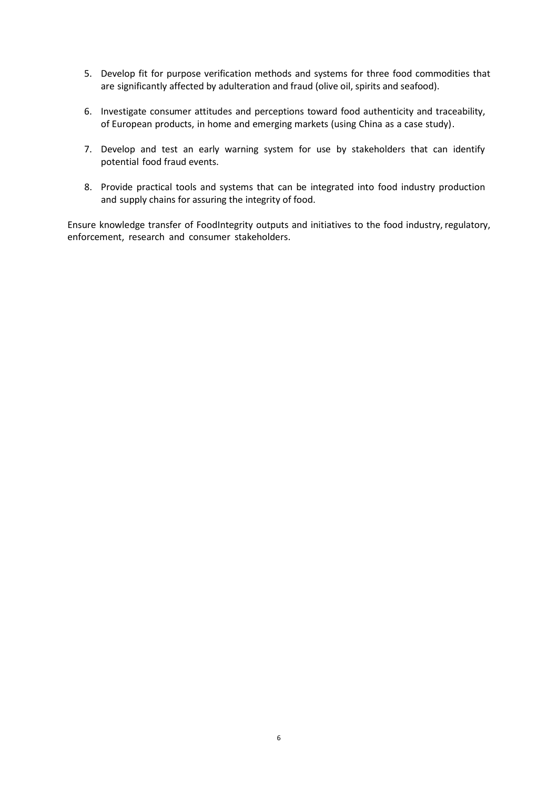- 5. Develop fit for purpose verification methods and systems for three food commodities that are significantly affected by adulteration and fraud (olive oil, spirits and seafood).
- 6. Investigate consumer attitudes and perceptions toward food authenticity and traceability, of European products, in home and emerging markets (using China as a case study).
- 7. Develop and test an early warning system for use by stakeholders that can identify potential food fraud events.
- 8. Provide practical tools and systems that can be integrated into food industry production and supply chains for assuring the integrity of food.

Ensure knowledge transfer of FoodIntegrity outputs and initiatives to the food industry, regulatory, enforcement, research and consumer stakeholders.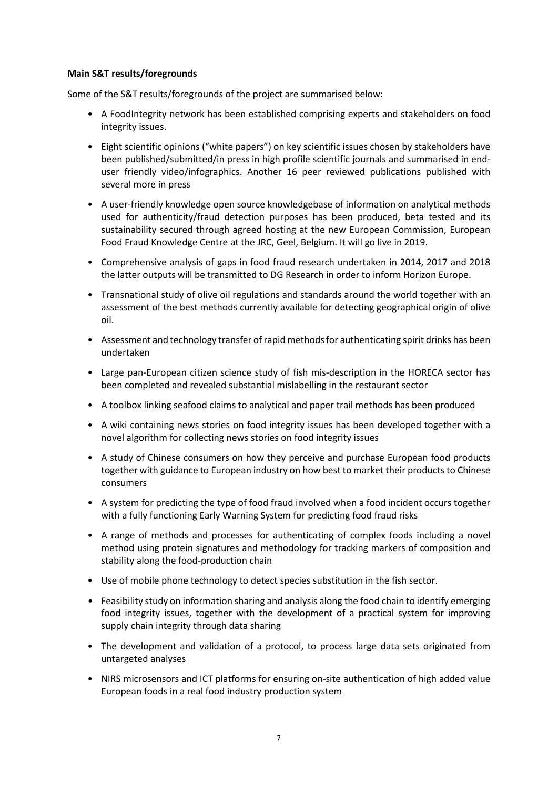#### **Main S&T results/foregrounds**

Some of the S&T results/foregrounds of the project are summarised below:

- A FoodIntegrity network has been established comprising experts and stakeholders on food integrity issues.
- Eight scientific opinions ("white papers") on key scientific issues chosen by stakeholders have been published/submitted/in press in high profile scientific journals and summarised in enduser friendly video/infographics. Another 16 peer reviewed publications published with several more in press
- A user-friendly knowledge open source knowledgebase of information on analytical methods used for authenticity/fraud detection purposes has been produced, beta tested and its sustainability secured through agreed hosting at the new European Commission, European Food Fraud Knowledge Centre at the JRC, Geel, Belgium. It will go live in 2019.
- Comprehensive analysis of gaps in food fraud research undertaken in 2014, 2017 and 2018 the latter outputs will be transmitted to DG Research in order to inform Horizon Europe.
- Transnational study of olive oil regulations and standards around the world together with an assessment of the best methods currently available for detecting geographical origin of olive oil.
- Assessment and technology transfer of rapid methods for authenticating spirit drinks has been undertaken
- Large pan-European citizen science study of fish mis-description in the HORECA sector has been completed and revealed substantial mislabelling in the restaurant sector
- A toolbox linking seafood claims to analytical and paper trail methods has been produced
- A wiki containing news stories on food integrity issues has been developed together with a novel algorithm for collecting news stories on food integrity issues
- A study of Chinese consumers on how they perceive and purchase European food products together with guidance to European industry on how best to market their products to Chinese consumers
- A system for predicting the type of food fraud involved when a food incident occurs together with a fully functioning Early Warning System for predicting food fraud risks
- A range of methods and processes for authenticating of complex foods including a novel method using protein signatures and methodology for tracking markers of composition and stability along the food-production chain
- Use of mobile phone technology to detect species substitution in the fish sector.
- Feasibility study on information sharing and analysis along the food chain to identify emerging food integrity issues, together with the development of a practical system for improving supply chain integrity through data sharing
- The development and validation of a protocol, to process large data sets originated from untargeted analyses
- NIRS microsensors and ICT platforms for ensuring on-site authentication of high added value European foods in a real food industry production system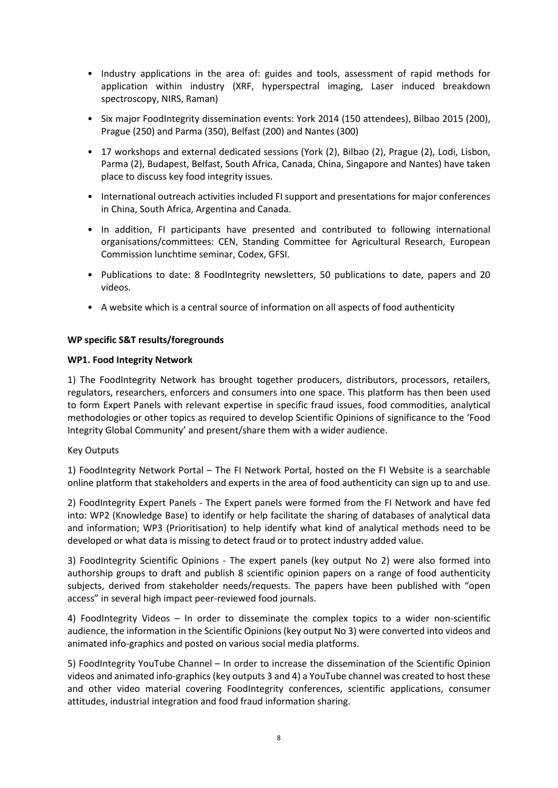- Industry applications in the area of: guides and tools, assessment of rapid methods for application within industry (XRF, hyperspectral imaging, Laser induced breakdown spectroscopy, NIRS, Raman)
- Six major FoodIntegrity dissemination events: York 2014 (150 attendees), Bilbao 2015 (200), Prague (250) and Parma (350), Belfast (200) and Nantes (300)
- 17 workshops and external dedicated sessions (York (2), Bilbao (2), Prague (2), Lodi, Lisbon, Parma (2), Budapest, Belfast, South Africa, Canada, China, Singapore and Nantes) have taken place to discuss key food integrity issues.
- International outreach activities included FI support and presentations for major conferences in China, South Africa, Argentina and Canada.
- In addition, FI participants have presented and contributed to following international organisations/committees: CEN, Standing Committee for Agricultural Research, European Commission lunchtime seminar, Codex, GFSI.
- Publications to date: 8 FoodIntegrity newsletters, 50 publications to date, papers and 20 videos.
- A website which is a central source of information on all aspects of food authenticity

#### **WP specific S&T results/foregrounds**

#### **WP1. Food Integrity Network**

1) The FoodIntegrity Network has brought together producers, distributors, processors, retailers, regulators, researchers, enforcers and consumers into one space. This platform has then been used to form Expert Panels with relevant expertise in specific fraud issues, food commodities, analytical methodologies or other topics as required to develop Scientific Opinions of significance to the 'Food Integrity Global Community' and present/share them with a wider audience.

#### Key Outputs

1) FoodIntegrity Network Portal – The FI Network Portal, hosted on the FI Website is a searchable online platform that stakeholders and experts in the area of food authenticity can sign up to and use.

2) FoodIntegrity Expert Panels - The Expert panels were formed from the FI Network and have fed into: WP2 (Knowledge Base) to identify or help facilitate the sharing of databases of analytical data and information; WP3 (Prioritisation) to help identify what kind of analytical methods need to be developed or what data is missing to detect fraud or to protect industry added value.

3) FoodIntegrity Scientific Opinions - The expert panels (key output No 2) were also formed into authorship groups to draft and publish 8 scientific opinion papers on a range of food authenticity subjects, derived from stakeholder needs/requests. The papers have been published with "open access" in several high impact peer-reviewed food journals.

4) FoodIntegrity Videos – In order to disseminate the complex topics to a wider non-scientific audience, the information in the Scientific Opinions (key output No 3) were converted into videos and animated info-graphics and posted on various social media platforms.

5) FoodIntegrity YouTube Channel – In order to increase the dissemination of the Scientific Opinion videos and animated info-graphics (key outputs 3 and 4) a YouTube channel was created to host these and other video material covering FoodIntegrity conferences, scientific applications, consumer attitudes, industrial integration and food fraud information sharing.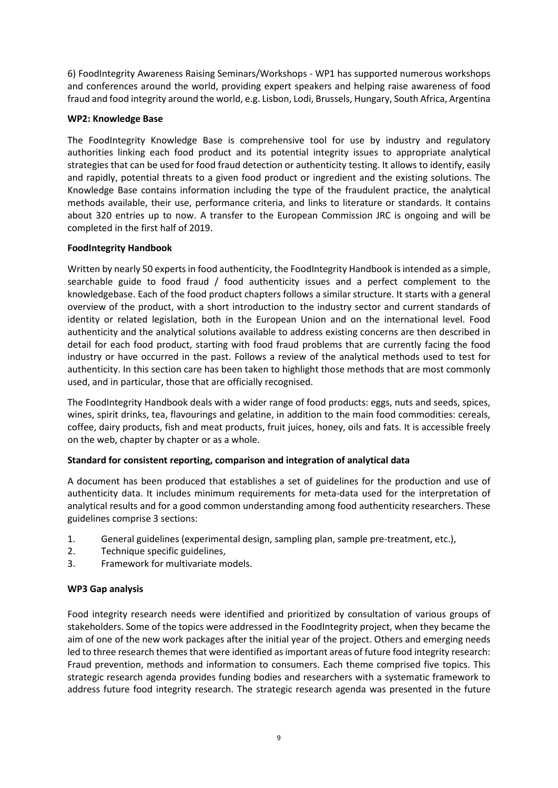6) FoodIntegrity Awareness Raising Seminars/Workshops - WP1 has supported numerous workshops and conferences around the world, providing expert speakers and helping raise awareness of food fraud and food integrity around the world, e.g. Lisbon, Lodi, Brussels, Hungary, South Africa, Argentina

#### **WP2: Knowledge Base**

The FoodIntegrity Knowledge Base is comprehensive tool for use by industry and regulatory authorities linking each food product and its potential integrity issues to appropriate analytical strategies that can be used for food fraud detection or authenticity testing. It allows to identify, easily and rapidly, potential threats to a given food product or ingredient and the existing solutions. The Knowledge Base contains information including the type of the fraudulent practice, the analytical methods available, their use, performance criteria, and links to literature or standards. It contains about 320 entries up to now. A transfer to the European Commission JRC is ongoing and will be completed in the first half of 2019.

# **FoodIntegrity Handbook**

Written by nearly 50 experts in food authenticity, the FoodIntegrity Handbook is intended as a simple, searchable guide to food fraud / food authenticity issues and a perfect complement to the knowledgebase. Each of the food product chapters follows a similar structure. It starts with a general overview of the product, with a short introduction to the industry sector and current standards of identity or related legislation, both in the European Union and on the international level. Food authenticity and the analytical solutions available to address existing concerns are then described in detail for each food product, starting with food fraud problems that are currently facing the food industry or have occurred in the past. Follows a review of the analytical methods used to test for authenticity. In this section care has been taken to highlight those methods that are most commonly used, and in particular, those that are officially recognised.

The FoodIntegrity Handbook deals with a wider range of food products: eggs, nuts and seeds, spices, wines, spirit drinks, tea, flavourings and gelatine, in addition to the main food commodities: cereals, coffee, dairy products, fish and meat products, fruit juices, honey, oils and fats. It is accessible freely on the web, chapter by chapter or as a whole.

# **Standard for consistent reporting, comparison and integration of analytical data**

A document has been produced that establishes a set of guidelines for the production and use of authenticity data. It includes minimum requirements for meta-data used for the interpretation of analytical results and for a good common understanding among food authenticity researchers. These guidelines comprise 3 sections:

- 1. General guidelines (experimental design, sampling plan, sample pre-treatment, etc.),
- 2. Technique specific guidelines.
- 3. Framework for multivariate models.

# **WP3 Gap analysis**

Food integrity research needs were identified and prioritized by consultation of various groups of stakeholders. Some of the topics were addressed in the FoodIntegrity project, when they became the aim of one of the new work packages after the initial year of the project. Others and emerging needs led to three research themes that were identified as important areas of future food integrity research: Fraud prevention, methods and information to consumers. Each theme comprised five topics. This strategic research agenda provides funding bodies and researchers with a systematic framework to address future food integrity research. The strategic research agenda was presented in the future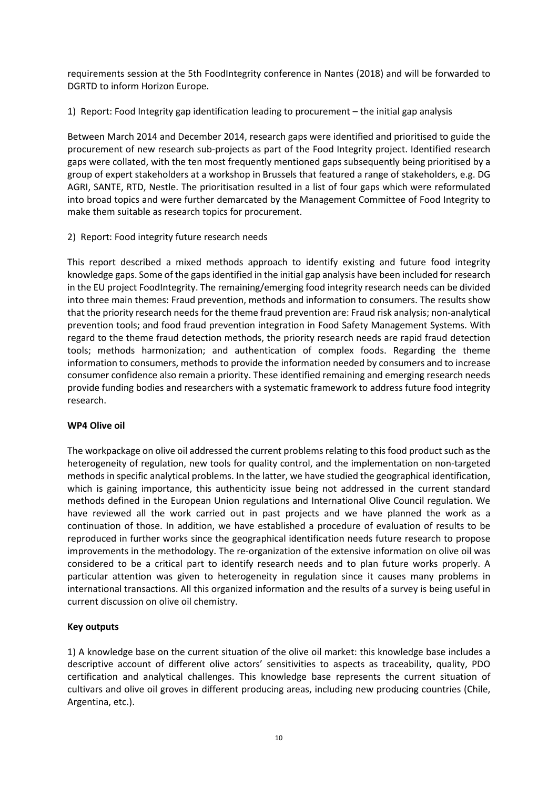requirements session at the 5th FoodIntegrity conference in Nantes (2018) and will be forwarded to DGRTD to inform Horizon Europe.

1) Report: Food Integrity gap identification leading to procurement – the initial gap analysis

Between March 2014 and December 2014, research gaps were identified and prioritised to guide the procurement of new research sub-projects as part of the Food Integrity project. Identified research gaps were collated, with the ten most frequently mentioned gaps subsequently being prioritised by a group of expert stakeholders at a workshop in Brussels that featured a range of stakeholders, e.g. DG AGRI, SANTE, RTD, Nestle. The prioritisation resulted in a list of four gaps which were reformulated into broad topics and were further demarcated by the Management Committee of Food Integrity to make them suitable as research topics for procurement.

2) Report: Food integrity future research needs

This report described a mixed methods approach to identify existing and future food integrity knowledge gaps. Some of the gaps identified in the initial gap analysis have been included for research in the EU project FoodIntegrity. The remaining/emerging food integrity research needs can be divided into three main themes: Fraud prevention, methods and information to consumers. The results show that the priority research needs for the theme fraud prevention are: Fraud risk analysis; non-analytical prevention tools; and food fraud prevention integration in Food Safety Management Systems. With regard to the theme fraud detection methods, the priority research needs are rapid fraud detection tools; methods harmonization; and authentication of complex foods. Regarding the theme information to consumers, methods to provide the information needed by consumers and to increase consumer confidence also remain a priority. These identified remaining and emerging research needs provide funding bodies and researchers with a systematic framework to address future food integrity research.

#### **WP4 Olive oil**

The workpackage on olive oil addressed the current problems relating to this food product such as the heterogeneity of regulation, new tools for quality control, and the implementation on non-targeted methods in specific analytical problems. In the latter, we have studied the geographical identification, which is gaining importance, this authenticity issue being not addressed in the current standard methods defined in the European Union regulations and International Olive Council regulation. We have reviewed all the work carried out in past projects and we have planned the work as a continuation of those. In addition, we have established a procedure of evaluation of results to be reproduced in further works since the geographical identification needs future research to propose improvements in the methodology. The re-organization of the extensive information on olive oil was considered to be a critical part to identify research needs and to plan future works properly. A particular attention was given to heterogeneity in regulation since it causes many problems in international transactions. All this organized information and the results of a survey is being useful in current discussion on olive oil chemistry.

#### **Key outputs**

1) A knowledge base on the current situation of the olive oil market: this knowledge base includes a descriptive account of different olive actors' sensitivities to aspects as traceability, quality, PDO certification and analytical challenges. This knowledge base represents the current situation of cultivars and olive oil groves in different producing areas, including new producing countries (Chile, Argentina, etc.).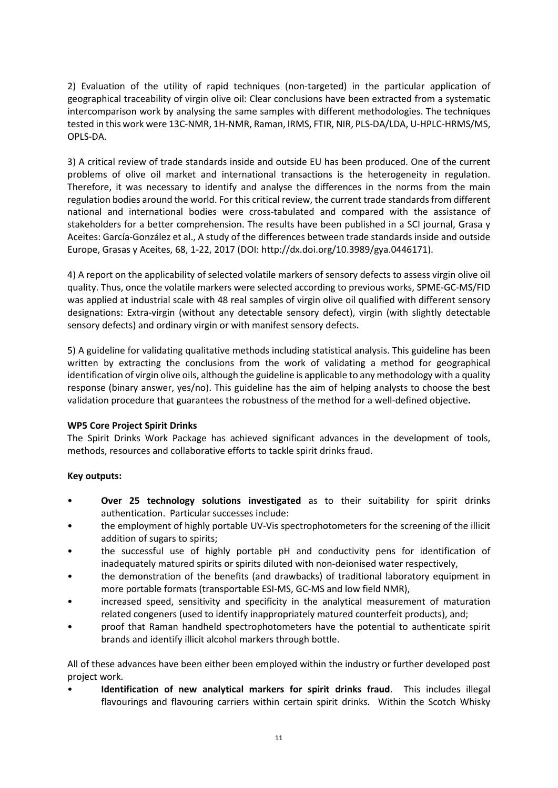2) Evaluation of the utility of rapid techniques (non-targeted) in the particular application of geographical traceability of virgin olive oil: Clear conclusions have been extracted from a systematic intercomparison work by analysing the same samples with different methodologies. The techniques tested in this work were 13C-NMR, 1H-NMR, Raman, IRMS, FTIR, NIR, PLS-DA/LDA, U-HPLC-HRMS/MS, OPLS-DA.

3) A critical review of trade standards inside and outside EU has been produced. One of the current problems of olive oil market and international transactions is the heterogeneity in regulation. Therefore, it was necessary to identify and analyse the differences in the norms from the main regulation bodies around the world. For this critical review, the current trade standards from different national and international bodies were cross-tabulated and compared with the assistance of stakeholders for a better comprehension. The results have been published in a SCI journal, Grasa y Aceites: García-González et al., A study of the differences between trade standards inside and outside Europe, Grasas y Aceites, 68, 1-22, 2017 (DOI: http://dx.doi.org/10.3989/gya.0446171).

4) A report on the applicability of selected volatile markers of sensory defects to assess virgin olive oil quality. Thus, once the volatile markers were selected according to previous works, SPME-GC-MS/FID was applied at industrial scale with 48 real samples of virgin olive oil qualified with different sensory designations: Extra-virgin (without any detectable sensory defect), virgin (with slightly detectable sensory defects) and ordinary virgin or with manifest sensory defects.

5) A guideline for validating qualitative methods including statistical analysis. This guideline has been written by extracting the conclusions from the work of validating a method for geographical identification of virgin olive oils, although the guideline is applicable to any methodology with a quality response (binary answer, yes/no). This guideline has the aim of helping analysts to choose the best validation procedure that guarantees the robustness of the method for a well-defined objective**.**

# **WP5 Core Project Spirit Drinks**

The Spirit Drinks Work Package has achieved significant advances in the development of tools, methods, resources and collaborative efforts to tackle spirit drinks fraud.

# **Key outputs:**

- **Over 25 technology solutions investigated** as to their suitability for spirit drinks authentication. Particular successes include:
- the employment of highly portable UV-Vis spectrophotometers for the screening of the illicit addition of sugars to spirits;
- the successful use of highly portable pH and conductivity pens for identification of inadequately matured spirits or spirits diluted with non-deionised water respectively,
- the demonstration of the benefits (and drawbacks) of traditional laboratory equipment in more portable formats (transportable ESI-MS, GC-MS and low field NMR),
- increased speed, sensitivity and specificity in the analytical measurement of maturation related congeners (used to identify inappropriately matured counterfeit products), and;
- proof that Raman handheld spectrophotometers have the potential to authenticate spirit brands and identify illicit alcohol markers through bottle.

All of these advances have been either been employed within the industry or further developed post project work.

• **Identification of new analytical markers for spirit drinks fraud**. This includes illegal flavourings and flavouring carriers within certain spirit drinks. Within the Scotch Whisky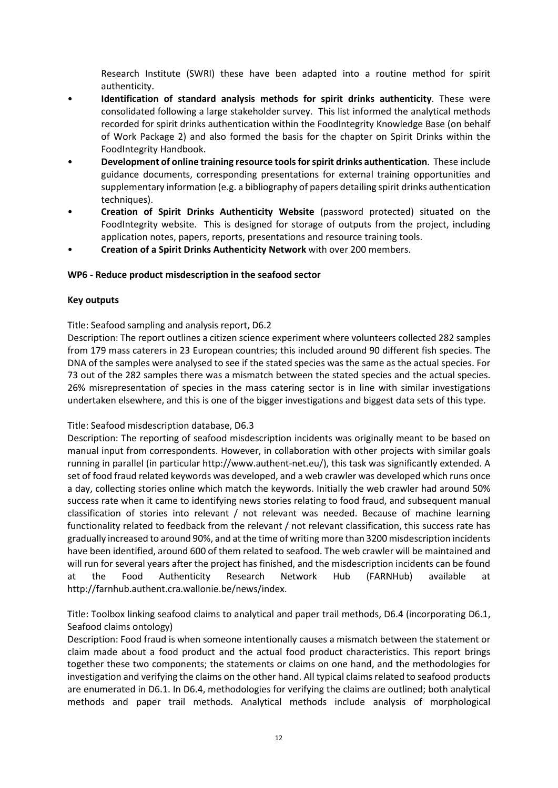Research Institute (SWRI) these have been adapted into a routine method for spirit authenticity.

- **Identification of standard analysis methods for spirit drinks authenticity**. These were consolidated following a large stakeholder survey. This list informed the analytical methods recorded for spirit drinks authentication within the FoodIntegrity Knowledge Base (on behalf of Work Package 2) and also formed the basis for the chapter on Spirit Drinks within the FoodIntegrity Handbook.
- **Development of online training resource tools for spirit drinks authentication**. These include guidance documents, corresponding presentations for external training opportunities and supplementary information (e.g. a bibliography of papers detailing spirit drinks authentication techniques).
- **Creation of Spirit Drinks Authenticity Website** (password protected) situated on the FoodIntegrity website. This is designed for storage of outputs from the project, including application notes, papers, reports, presentations and resource training tools.
- **Creation of a Spirit Drinks Authenticity Network** with over 200 members.

#### **WP6 - Reduce product misdescription in the seafood sector**

#### **Key outputs**

Title: Seafood sampling and analysis report, D6.2

Description: The report outlines a citizen science experiment where volunteers collected 282 samples from 179 mass caterers in 23 European countries; this included around 90 different fish species. The DNA of the samples were analysed to see if the stated species was the same as the actual species. For 73 out of the 282 samples there was a mismatch between the stated species and the actual species. 26% misrepresentation of species in the mass catering sector is in line with similar investigations undertaken elsewhere, and this is one of the bigger investigations and biggest data sets of this type.

#### Title: Seafood misdescription database, D6.3

Description: The reporting of seafood misdescription incidents was originally meant to be based on manual input from correspondents. However, in collaboration with other projects with similar goals running in parallel (in particular http://www.authent-net.eu/), this task was significantly extended. A set of food fraud related keywords was developed, and a web crawler was developed which runs once a day, collecting stories online which match the keywords. Initially the web crawler had around 50% success rate when it came to identifying news stories relating to food fraud, and subsequent manual classification of stories into relevant / not relevant was needed. Because of machine learning functionality related to feedback from the relevant / not relevant classification, this success rate has gradually increased to around 90%, and at the time of writing more than 3200 misdescription incidents have been identified, around 600 of them related to seafood. The web crawler will be maintained and will run for several years after the project has finished, and the misdescription incidents can be found at the Food Authenticity Research Network Hub (FARNHub) available at http://farnhub.authent.cra.wallonie.be/news/index.

Title: Toolbox linking seafood claims to analytical and paper trail methods, D6.4 (incorporating D6.1, Seafood claims ontology)

Description: Food fraud is when someone intentionally causes a mismatch between the statement or claim made about a food product and the actual food product characteristics. This report brings together these two components; the statements or claims on one hand, and the methodologies for investigation and verifying the claims on the other hand. All typical claims related to seafood products are enumerated in D6.1. In D6.4, methodologies for verifying the claims are outlined; both analytical methods and paper trail methods. Analytical methods include analysis of morphological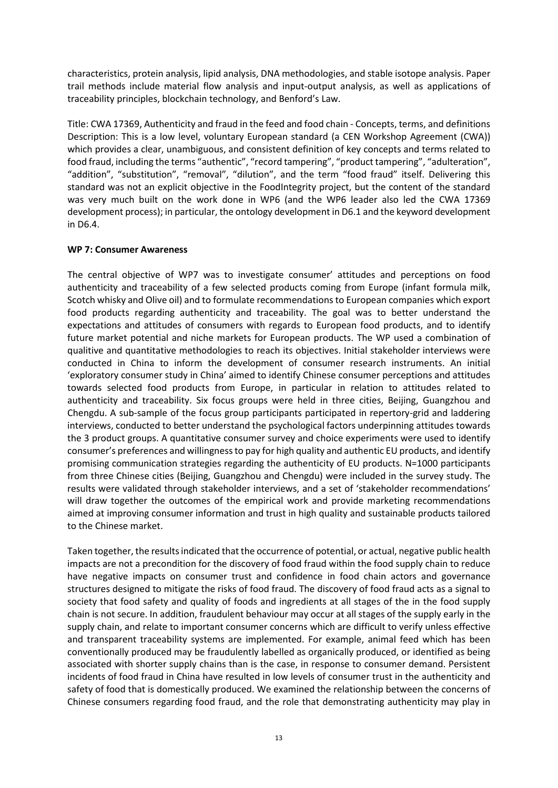characteristics, protein analysis, lipid analysis, DNA methodologies, and stable isotope analysis. Paper trail methods include material flow analysis and input-output analysis, as well as applications of traceability principles, blockchain technology, and Benford's Law.

Title: CWA 17369, Authenticity and fraud in the feed and food chain - Concepts, terms, and definitions Description: This is a low level, voluntary European standard (a CEN Workshop Agreement (CWA)) which provides a clear, unambiguous, and consistent definition of key concepts and terms related to food fraud, including the terms "authentic", "record tampering", "product tampering", "adulteration", "addition", "substitution", "removal", "dilution", and the term "food fraud" itself. Delivering this standard was not an explicit objective in the FoodIntegrity project, but the content of the standard was very much built on the work done in WP6 (and the WP6 leader also led the CWA 17369 development process); in particular, the ontology development in D6.1 and the keyword development in D6.4.

#### **WP 7: Consumer Awareness**

The central objective of WP7 was to investigate consumer' attitudes and perceptions on food authenticity and traceability of a few selected products coming from Europe (infant formula milk, Scotch whisky and Olive oil) and to formulate recommendations to European companies which export food products regarding authenticity and traceability. The goal was to better understand the expectations and attitudes of consumers with regards to European food products, and to identify future market potential and niche markets for European products. The WP used a combination of qualitive and quantitative methodologies to reach its objectives. Initial stakeholder interviews were conducted in China to inform the development of consumer research instruments. An initial 'exploratory consumer study in China' aimed to identify Chinese consumer perceptions and attitudes towards selected food products from Europe, in particular in relation to attitudes related to authenticity and traceability. Six focus groups were held in three cities, Beijing, Guangzhou and Chengdu. A sub-sample of the focus group participants participated in repertory-grid and laddering interviews, conducted to better understand the psychological factors underpinning attitudes towards the 3 product groups. A quantitative consumer survey and choice experiments were used to identify consumer's preferences and willingness to pay for high quality and authentic EU products, and identify promising communication strategies regarding the authenticity of EU products. N=1000 participants from three Chinese cities (Beijing, Guangzhou and Chengdu) were included in the survey study. The results were validated through stakeholder interviews, and a set of 'stakeholder recommendations' will draw together the outcomes of the empirical work and provide marketing recommendations aimed at improving consumer information and trust in high quality and sustainable products tailored to the Chinese market.

Taken together, the results indicated that the occurrence of potential, or actual, negative public health impacts are not a precondition for the discovery of food fraud within the food supply chain to reduce have negative impacts on consumer trust and confidence in food chain actors and governance structures designed to mitigate the risks of food fraud. The discovery of food fraud acts as a signal to society that food safety and quality of foods and ingredients at all stages of the in the food supply chain is not secure. In addition, fraudulent behaviour may occur at all stages of the supply early in the supply chain, and relate to important consumer concerns which are difficult to verify unless effective and transparent traceability systems are implemented. For example, animal feed which has been conventionally produced may be fraudulently labelled as organically produced, or identified as being associated with shorter supply chains than is the case, in response to consumer demand. Persistent incidents of food fraud in China have resulted in low levels of consumer trust in the authenticity and safety of food that is domestically produced. We examined the relationship between the concerns of Chinese consumers regarding food fraud, and the role that demonstrating authenticity may play in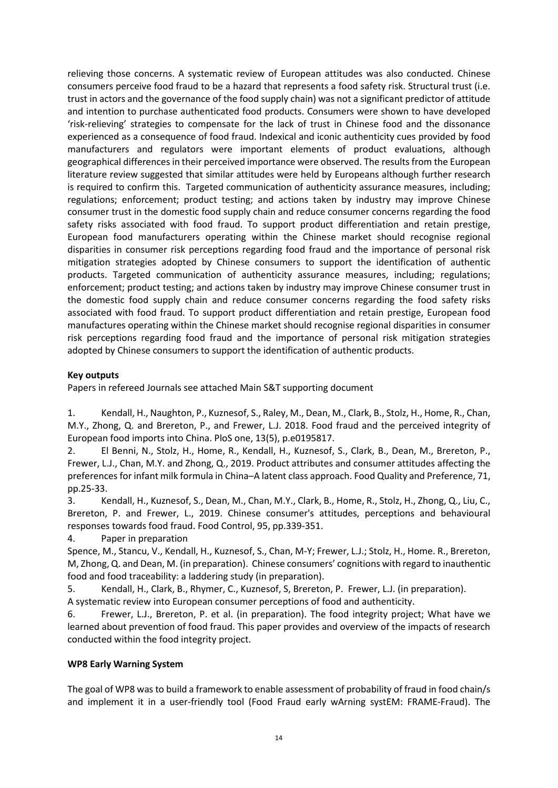relieving those concerns. A systematic review of European attitudes was also conducted. Chinese consumers perceive food fraud to be a hazard that represents a food safety risk. Structural trust (i.e. trust in actors and the governance of the food supply chain) was not a significant predictor of attitude and intention to purchase authenticated food products. Consumers were shown to have developed 'risk-relieving' strategies to compensate for the lack of trust in Chinese food and the dissonance experienced as a consequence of food fraud. Indexical and iconic authenticity cues provided by food manufacturers and regulators were important elements of product evaluations, although geographical differences in their perceived importance were observed. The results from the European literature review suggested that similar attitudes were held by Europeans although further research is required to confirm this. Targeted communication of authenticity assurance measures, including; regulations; enforcement; product testing; and actions taken by industry may improve Chinese consumer trust in the domestic food supply chain and reduce consumer concerns regarding the food safety risks associated with food fraud. To support product differentiation and retain prestige, European food manufacturers operating within the Chinese market should recognise regional disparities in consumer risk perceptions regarding food fraud and the importance of personal risk mitigation strategies adopted by Chinese consumers to support the identification of authentic products. Targeted communication of authenticity assurance measures, including; regulations; enforcement; product testing; and actions taken by industry may improve Chinese consumer trust in the domestic food supply chain and reduce consumer concerns regarding the food safety risks associated with food fraud. To support product differentiation and retain prestige, European food manufactures operating within the Chinese market should recognise regional disparities in consumer risk perceptions regarding food fraud and the importance of personal risk mitigation strategies adopted by Chinese consumers to support the identification of authentic products.

# **Key outputs**

Papers in refereed Journals see attached Main S&T supporting document

1. Kendall, H., Naughton, P., Kuznesof, S., Raley, M., Dean, M., Clark, B., Stolz, H., Home, R., Chan, M.Y., Zhong, Q. and Brereton, P., and Frewer, L.J. 2018. Food fraud and the perceived integrity of European food imports into China. PloS one, 13(5), p.e0195817.

2. El Benni, N., Stolz, H., Home, R., Kendall, H., Kuznesof, S., Clark, B., Dean, M., Brereton, P., Frewer, L.J., Chan, M.Y. and Zhong, Q., 2019. Product attributes and consumer attitudes affecting the preferences for infant milk formula in China–A latent class approach. Food Quality and Preference, 71, pp.25-33.

3. Kendall, H., Kuznesof, S., Dean, M., Chan, M.Y., Clark, B., Home, R., Stolz, H., Zhong, Q., Liu, C., Brereton, P. and Frewer, L., 2019. Chinese consumer's attitudes, perceptions and behavioural responses towards food fraud. Food Control, 95, pp.339-351.

4. Paper in preparation

Spence, M., Stancu, V., Kendall, H., Kuznesof, S., Chan, M-Y; Frewer, L.J.; Stolz, H., Home. R., Brereton, M, Zhong, Q. and Dean, M. (in preparation). Chinese consumers' cognitions with regard to inauthentic food and food traceability: a laddering study (in preparation).

5. Kendall, H., Clark, B., Rhymer, C., Kuznesof, S, Brereton, P. Frewer, L.J. (in preparation). A systematic review into European consumer perceptions of food and authenticity.

6. Frewer, L.J., Brereton, P. et al. (in preparation). The food integrity project; What have we learned about prevention of food fraud. This paper provides and overview of the impacts of research conducted within the food integrity project.

#### **WP8 Early Warning System**

The goal of WP8 was to build a framework to enable assessment of probability of fraud in food chain/s and implement it in a user-friendly tool (Food Fraud early wArning systEM: FRAME-Fraud). The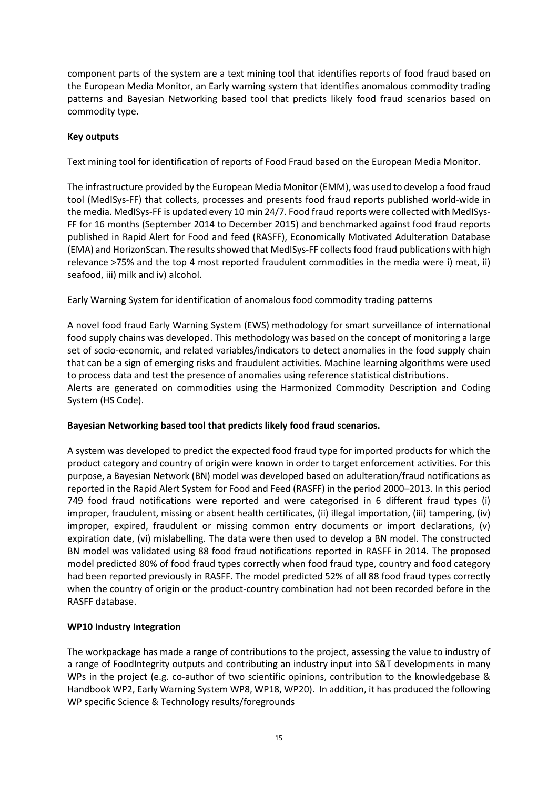component parts of the system are a text mining tool that identifies reports of food fraud based on the European Media Monitor, an Early warning system that identifies anomalous commodity trading patterns and Bayesian Networking based tool that predicts likely food fraud scenarios based on commodity type.

#### **Key outputs**

Text mining tool for identification of reports of Food Fraud based on the European Media Monitor.

The infrastructure provided by the European Media Monitor (EMM), was used to develop a food fraud tool (MedISys-FF) that collects, processes and presents food fraud reports published world-wide in the media. MedISys-FF is updated every 10 min 24/7. Food fraud reports were collected with MedISys-FF for 16 months (September 2014 to December 2015) and benchmarked against food fraud reports published in Rapid Alert for Food and feed (RASFF), Economically Motivated Adulteration Database (EMA) and HorizonScan. The results showed that MedISys-FF collects food fraud publications with high relevance >75% and the top 4 most reported fraudulent commodities in the media were i) meat, ii) seafood, iii) milk and iv) alcohol.

Early Warning System for identification of anomalous food commodity trading patterns

A novel food fraud Early Warning System (EWS) methodology for smart surveillance of international food supply chains was developed. This methodology was based on the concept of monitoring a large set of socio-economic, and related variables/indicators to detect anomalies in the food supply chain that can be a sign of emerging risks and fraudulent activities. Machine learning algorithms were used to process data and test the presence of anomalies using reference statistical distributions. Alerts are generated on commodities using the Harmonized Commodity Description and Coding System (HS Code).

#### **Bayesian Networking based tool that predicts likely food fraud scenarios.**

A system was developed to predict the expected food fraud type for imported products for which the product category and country of origin were known in order to target enforcement activities. For this purpose, a Bayesian Network (BN) model was developed based on adulteration/fraud notifications as reported in the Rapid Alert System for Food and Feed (RASFF) in the period 2000–2013. In this period 749 food fraud notifications were reported and were categorised in 6 different fraud types (i) improper, fraudulent, missing or absent health certificates, (ii) illegal importation, (iii) tampering, (iv) improper, expired, fraudulent or missing common entry documents or import declarations, (v) expiration date, (vi) mislabelling. The data were then used to develop a BN model. The constructed BN model was validated using 88 food fraud notifications reported in RASFF in 2014. The proposed model predicted 80% of food fraud types correctly when food fraud type, country and food category had been reported previously in RASFF. The model predicted 52% of all 88 food fraud types correctly when the country of origin or the product-country combination had not been recorded before in the RASFF database.

# **WP10 Industry Integration**

The workpackage has made a range of contributions to the project, assessing the value to industry of a range of FoodIntegrity outputs and contributing an industry input into S&T developments in many WPs in the project (e.g. co-author of two scientific opinions, contribution to the knowledgebase & Handbook WP2, Early Warning System WP8, WP18, WP20). In addition, it has produced the following WP specific Science & Technology results/foregrounds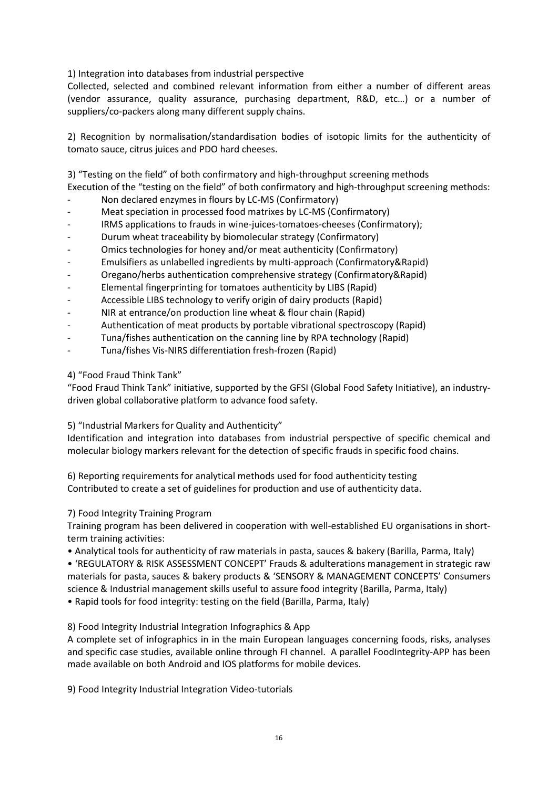1) Integration into databases from industrial perspective

Collected, selected and combined relevant information from either a number of different areas (vendor assurance, quality assurance, purchasing department, R&D, etc…) or a number of suppliers/co-packers along many different supply chains.

2) Recognition by normalisation/standardisation bodies of isotopic limits for the authenticity of tomato sauce, citrus juices and PDO hard cheeses.

3) "Testing on the field" of both confirmatory and high-throughput screening methods

Execution of the "testing on the field" of both confirmatory and high-throughput screening methods:

- Non declared enzymes in flours by LC-MS (Confirmatory)
- Meat speciation in processed food matrixes by LC-MS (Confirmatory)
- IRMS applications to frauds in wine-juices-tomatoes-cheeses (Confirmatory);
- Durum wheat traceability by biomolecular strategy (Confirmatory)
- Omics technologies for honey and/or meat authenticity (Confirmatory)
- Emulsifiers as unlabelled ingredients by multi-approach (Confirmatory&Rapid)
- Oregano/herbs authentication comprehensive strategy (Confirmatory&Rapid)
- Elemental fingerprinting for tomatoes authenticity by LIBS (Rapid)
- Accessible LIBS technology to verify origin of dairy products (Rapid)
- NIR at entrance/on production line wheat & flour chain (Rapid)
- Authentication of meat products by portable vibrational spectroscopy (Rapid)
- Tuna/fishes authentication on the canning line by RPA technology (Rapid)
- Tuna/fishes Vis-NIRS differentiation fresh-frozen (Rapid)

4) "Food Fraud Think Tank"

"Food Fraud Think Tank" initiative, supported by the GFSI (Global Food Safety Initiative), an industrydriven global collaborative platform to advance food safety.

5) "Industrial Markers for Quality and Authenticity"

Identification and integration into databases from industrial perspective of specific chemical and molecular biology markers relevant for the detection of specific frauds in specific food chains.

6) Reporting requirements for analytical methods used for food authenticity testing Contributed to create a set of guidelines for production and use of authenticity data.

7) Food Integrity Training Program

Training program has been delivered in cooperation with well-established EU organisations in shortterm training activities:

• Analytical tools for authenticity of raw materials in pasta, sauces & bakery (Barilla, Parma, Italy)

• 'REGULATORY & RISK ASSESSMENT CONCEPT' Frauds & adulterations management in strategic raw materials for pasta, sauces & bakery products & 'SENSORY & MANAGEMENT CONCEPTS' Consumers science & Industrial management skills useful to assure food integrity (Barilla, Parma, Italy)

• Rapid tools for food integrity: testing on the field (Barilla, Parma, Italy)

8) Food Integrity Industrial Integration Infographics & App

A complete set of infographics in in the main European languages concerning foods, risks, analyses and specific case studies, available online through FI channel. A parallel FoodIntegrity-APP has been made available on both Android and IOS platforms for mobile devices.

9) Food Integrity Industrial Integration Video-tutorials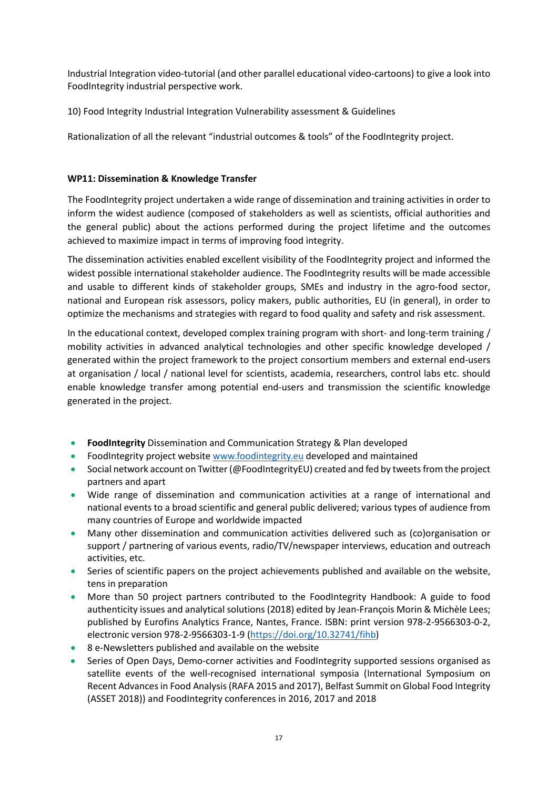Industrial Integration video-tutorial (and other parallel educational video-cartoons) to give a look into FoodIntegrity industrial perspective work.

10) Food Integrity Industrial Integration Vulnerability assessment & Guidelines

Rationalization of all the relevant "industrial outcomes & tools" of the FoodIntegrity project.

#### **WP11: Dissemination & Knowledge Transfer**

The FoodIntegrity project undertaken a wide range of dissemination and training activities in order to inform the widest audience (composed of stakeholders as well as scientists, official authorities and the general public) about the actions performed during the project lifetime and the outcomes achieved to maximize impact in terms of improving food integrity.

The dissemination activities enabled excellent visibility of the FoodIntegrity project and informed the widest possible international stakeholder audience. The FoodIntegrity results will be made accessible and usable to different kinds of stakeholder groups, SMEs and industry in the agro-food sector, national and European risk assessors, policy makers, public authorities, EU (in general), in order to optimize the mechanisms and strategies with regard to food quality and safety and risk assessment.

In the educational context, developed complex training program with short- and long-term training / mobility activities in advanced analytical technologies and other specific knowledge developed / generated within the project framework to the project consortium members and external end-users at organisation / local / national level for scientists, academia, researchers, control labs etc. should enable knowledge transfer among potential end-users and transmission the scientific knowledge generated in the project.

- **FoodIntegrity** Dissemination and Communication Strategy & Plan developed
- FoodIntegrity project website [www.foodintegrity.eu](http://www.foodintegrity.eu/) developed and maintained
- Social network account on Twitter (@FoodIntegrityEU) created and fed by tweets from the project partners and apart
- Wide range of dissemination and communication activities at a range of international and national events to a broad scientific and general public delivered; various types of audience from many countries of Europe and worldwide impacted
- Many other dissemination and communication activities delivered such as (co)organisation or support / partnering of various events, radio/TV/newspaper interviews, education and outreach activities, etc.
- Series of scientific papers on the project achievements published and available on the website, tens in preparation
- More than 50 project partners contributed to the FoodIntegrity Handbook: A guide to food authenticity issues and analytical solutions (2018) edited by Jean-François Morin & Michèle Lees; published by Eurofins Analytics France, Nantes, France. ISBN: print version 978-2-9566303-0-2, electronic version 978-2-9566303-1-9 [\(https://doi.org/10.32741/fihb\)](https://doi.org/10.32741/fihb)
- 8 e-Newsletters published and available [on](https://secure.fera.defra.gov.uk/foodintegrity/index.cfm?sectionid=34) the website
- Series of Open Days, Demo-corner activities and FoodIntegrity supported sessions organised as satellite events of the well-recognised international symposia (International Symposium on Recent Advances in Food Analysis (RAFA 2015 and 2017), Belfast Summit on Global Food Integrity (ASSET 2018)) and FoodIntegrity conferences in 2016, 2017 and 2018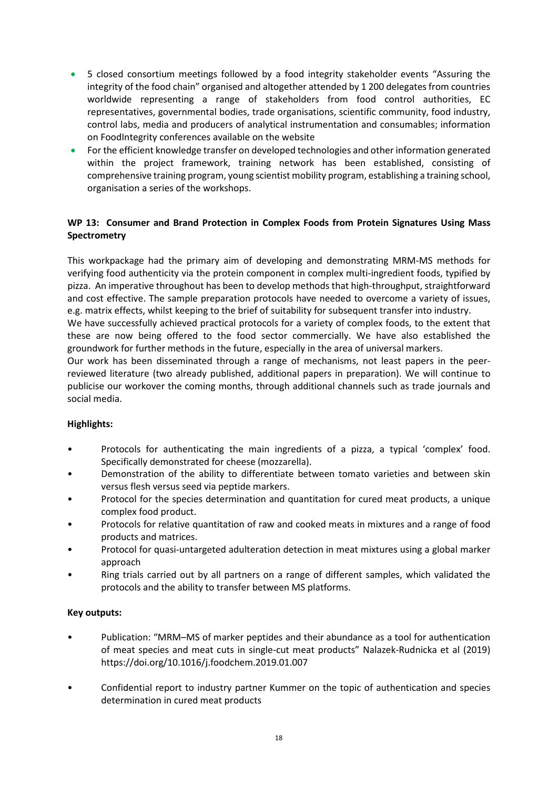- 5 closed consortium meetings followed by a food integrity stakeholder events "Assuring the integrity of the food chain" organised and altogether attended by 1 200 delegates from countries worldwide representing a range of stakeholders from food control authorities, EC representatives, governmental bodies, trade organisations, scientific community, food industry, control labs, media and producers of analytical instrumentation and consumables; information on FoodIntegrity conferences available [on](https://secure.fera.defra.gov.uk/foodintegrity/index.cfm?sectionid=3) the website
- For the efficient knowledge transfer on developed technologies and other information generated within the project framework, training network has been established, consisting of comprehensive training program, young scientist mobility program, establishing a training school, organisation a series of the workshops.

# **WP 13: Consumer and Brand Protection in Complex Foods from Protein Signatures Using Mass Spectrometry**

This workpackage had the primary aim of developing and demonstrating MRM-MS methods for verifying food authenticity via the protein component in complex multi-ingredient foods, typified by pizza. An imperative throughout has been to develop methods that high-throughput, straightforward and cost effective. The sample preparation protocols have needed to overcome a variety of issues, e.g. matrix effects, whilst keeping to the brief of suitability for subsequent transfer into industry.

We have successfully achieved practical protocols for a variety of complex foods, to the extent that these are now being offered to the food sector commercially. We have also established the groundwork for further methods in the future, especially in the area of universal markers.

Our work has been disseminated through a range of mechanisms, not least papers in the peerreviewed literature (two already published, additional papers in preparation). We will continue to publicise our workover the coming months, through additional channels such as trade journals and social media.

# **Highlights:**

- Protocols for authenticating the main ingredients of a pizza, a typical 'complex' food. Specifically demonstrated for cheese (mozzarella).
- Demonstration of the ability to differentiate between tomato varieties and between skin versus flesh versus seed via peptide markers.
- Protocol for the species determination and quantitation for cured meat products, a unique complex food product.
- Protocols for relative quantitation of raw and cooked meats in mixtures and a range of food products and matrices.
- Protocol for quasi-untargeted adulteration detection in meat mixtures using a global marker approach
- Ring trials carried out by all partners on a range of different samples, which validated the protocols and the ability to transfer between MS platforms.

#### **Key outputs:**

- Publication: "MRM–MS of marker peptides and their abundance as a tool for authentication of meat species and meat cuts in single-cut meat products" Nalazek-Rudnicka et al (2019) https://doi.org/10.1016/j.foodchem.2019.01.007
- Confidential report to industry partner Kummer on the topic of authentication and species determination in cured meat products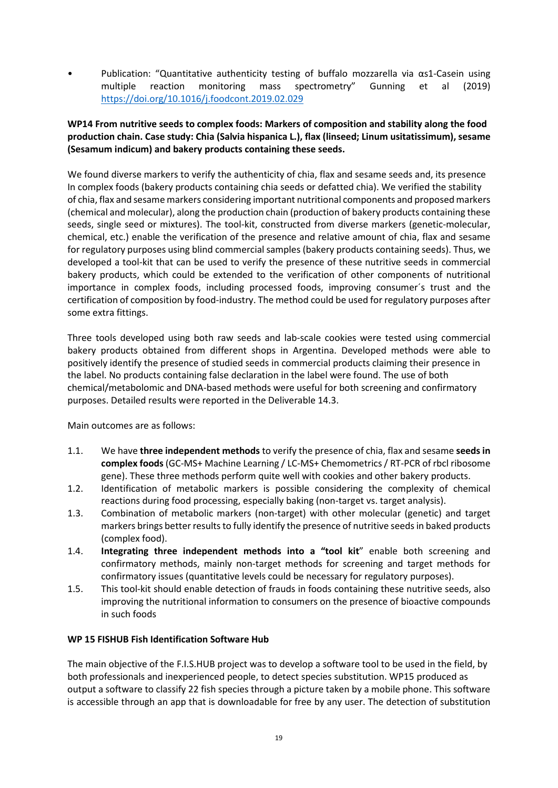Publication: "Quantitative authenticity testing of buffalo mozzarella via  $\alpha s1$ -Casein using multiple reaction monitoring mass spectrometry" Gunning et al (2019) <https://doi.org/10.1016/j.foodcont.2019.02.029>

# **WP14 From nutritive seeds to complex foods: Markers of composition and stability along the food production chain. Case study: Chia (Salvia hispanica L.), flax (linseed; Linum usitatissimum), sesame (Sesamum indicum) and bakery products containing these seeds.**

We found diverse markers to verify the authenticity of chia, flax and sesame seeds and, its presence In complex foods (bakery products containing chia seeds or defatted chia). We verified the stability of chia, flax and sesame markers considering important nutritional components and proposed markers (chemical and molecular), along the production chain (production of bakery products containing these seeds, single seed or mixtures). The tool-kit, constructed from diverse markers (genetic-molecular, chemical, etc.) enable the verification of the presence and relative amount of chia, flax and sesame for regulatory purposes using blind commercial samples (bakery products containing seeds). Thus, we developed a tool-kit that can be used to verify the presence of these nutritive seeds in commercial bakery products, which could be extended to the verification of other components of nutritional importance in complex foods, including processed foods, improving consumer´s trust and the certification of composition by food-industry. The method could be used for regulatory purposes after some extra fittings.

Three tools developed using both raw seeds and lab-scale cookies were tested using commercial bakery products obtained from different shops in Argentina. Developed methods were able to positively identify the presence of studied seeds in commercial products claiming their presence in the label. No products containing false declaration in the label were found. The use of both chemical/metabolomic and DNA-based methods were useful for both screening and confirmatory purposes. Detailed results were reported in the Deliverable 14.3.

Main outcomes are as follows:

- 1.1. We have **three independent methods** to verify the presence of chia, flax and sesame **seeds in complex foods**(GC-MS+ Machine Learning / LC-MS+ Chemometrics / RT-PCR of rbcl ribosome gene). These three methods perform quite well with cookies and other bakery products.
- 1.2. Identification of metabolic markers is possible considering the complexity of chemical reactions during food processing, especially baking (non-target vs. target analysis).
- 1.3. Combination of metabolic markers (non-target) with other molecular (genetic) and target markers brings better results to fully identify the presence of nutritive seeds in baked products (complex food).
- 1.4. **Integrating three independent methods into a "tool kit**" enable both screening and confirmatory methods, mainly non-target methods for screening and target methods for confirmatory issues (quantitative levels could be necessary for regulatory purposes).
- 1.5. This tool-kit should enable detection of frauds in foods containing these nutritive seeds, also improving the nutritional information to consumers on the presence of bioactive compounds in such foods

# **WP 15 FISHUB Fish Identification Software Hub**

The main objective of the F.I.S.HUB project was to develop a software tool to be used in the field, by both professionals and inexperienced people, to detect species substitution. WP15 produced as output a software to classify 22 fish species through a picture taken by a mobile phone. This software is accessible through an app that is downloadable for free by any user. The detection of substitution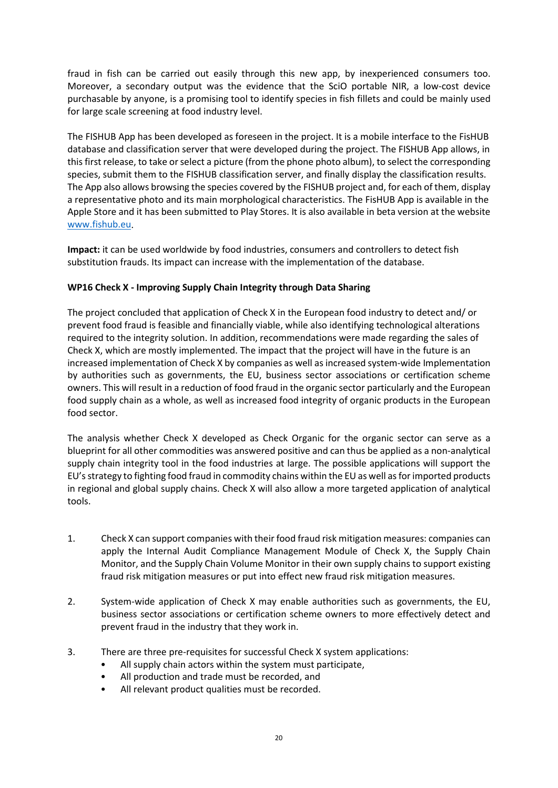fraud in fish can be carried out easily through this new app, by inexperienced consumers too. Moreover, a secondary output was the evidence that the SciO portable NIR, a low-cost device purchasable by anyone, is a promising tool to identify species in fish fillets and could be mainly used for large scale screening at food industry level.

The FISHUB App has been developed as foreseen in the project. It is a mobile interface to the FisHUB database and classification server that were developed during the project. The FISHUB App allows, in this first release, to take or select a picture (from the phone photo album), to select the corresponding species, submit them to the FISHUB classification server, and finally display the classification results. The App also allows browsing the species covered by the FISHUB project and, for each of them, display a representative photo and its main morphological characteristics. The FisHUB App is available in the Apple Store and it has been submitted to Play Stores. It is also available in beta version at the website [www.fishub.eu.](http://www.fishub.eu/)

**Impact:** it can be used worldwide by food industries, consumers and controllers to detect fish substitution frauds. Its impact can increase with the implementation of the database.

# **WP16 Check X - Improving Supply Chain Integrity through Data Sharing**

The project concluded that application of Check X in the European food industry to detect and/ or prevent food fraud is feasible and financially viable, while also identifying technological alterations required to the integrity solution. In addition, recommendations were made regarding the sales of Check X, which are mostly implemented. The impact that the project will have in the future is an increased implementation of Check X by companies as well as increased system-wide Implementation by authorities such as governments, the EU, business sector associations or certification scheme owners. This will result in a reduction of food fraud in the organic sector particularly and the European food supply chain as a whole, as well as increased food integrity of organic products in the European food sector.

The analysis whether Check X developed as Check Organic for the organic sector can serve as a blueprint for all other commodities was answered positive and can thus be applied as a non-analytical supply chain integrity tool in the food industries at large. The possible applications will support the EU's strategy to fighting food fraud in commodity chains within the EU as well as for imported products in regional and global supply chains. Check X will also allow a more targeted application of analytical tools.

- 1. Check X can support companies with their food fraud risk mitigation measures: companies can apply the Internal Audit Compliance Management Module of Check X, the Supply Chain Monitor, and the Supply Chain Volume Monitor in their own supply chains to support existing fraud risk mitigation measures or put into effect new fraud risk mitigation measures.
- 2. System-wide application of Check X may enable authorities such as governments, the EU, business sector associations or certification scheme owners to more effectively detect and prevent fraud in the industry that they work in.
- 3. There are three pre-requisites for successful Check X system applications:
	- All supply chain actors within the system must participate,
	- All production and trade must be recorded, and
	- All relevant product qualities must be recorded.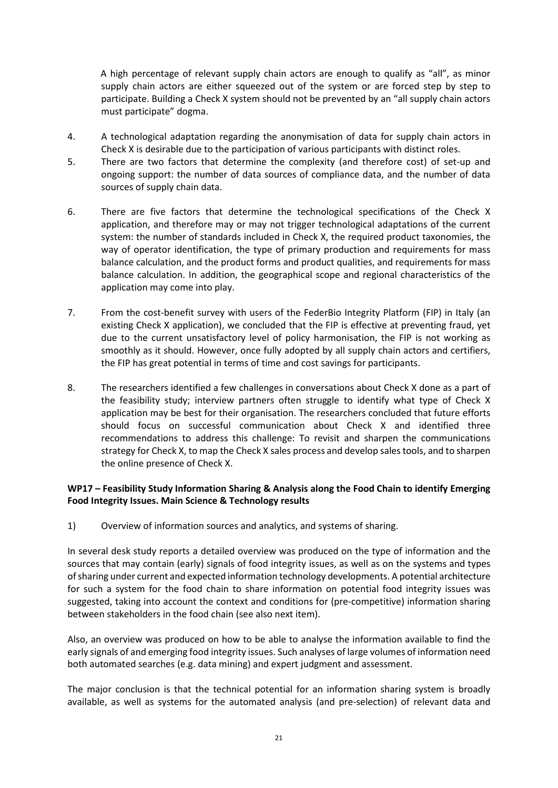A high percentage of relevant supply chain actors are enough to qualify as "all", as minor supply chain actors are either squeezed out of the system or are forced step by step to participate. Building a Check X system should not be prevented by an "all supply chain actors must participate" dogma.

- 4. A technological adaptation regarding the anonymisation of data for supply chain actors in Check X is desirable due to the participation of various participants with distinct roles.
- 5. There are two factors that determine the complexity (and therefore cost) of set-up and ongoing support: the number of data sources of compliance data, and the number of data sources of supply chain data.
- 6. There are five factors that determine the technological specifications of the Check X application, and therefore may or may not trigger technological adaptations of the current system: the number of standards included in Check X, the required product taxonomies, the way of operator identification, the type of primary production and requirements for mass balance calculation, and the product forms and product qualities, and requirements for mass balance calculation. In addition, the geographical scope and regional characteristics of the application may come into play.
- 7. From the cost-benefit survey with users of the FederBio Integrity Platform (FIP) in Italy (an existing Check X application), we concluded that the FIP is effective at preventing fraud, yet due to the current unsatisfactory level of policy harmonisation, the FIP is not working as smoothly as it should. However, once fully adopted by all supply chain actors and certifiers, the FIP has great potential in terms of time and cost savings for participants.
- 8. The researchers identified a few challenges in conversations about Check X done as a part of the feasibility study; interview partners often struggle to identify what type of Check X application may be best for their organisation. The researchers concluded that future efforts should focus on successful communication about Check X and identified three recommendations to address this challenge: To revisit and sharpen the communications strategy for Check X, to map the Check X sales process and develop sales tools, and to sharpen the online presence of Check X.

# **WP17 – Feasibility Study Information Sharing & Analysis along the Food Chain to identify Emerging Food Integrity Issues. Main Science & Technology results**

1) Overview of information sources and analytics, and systems of sharing.

In several desk study reports a detailed overview was produced on the type of information and the sources that may contain (early) signals of food integrity issues, as well as on the systems and types of sharing under current and expected information technology developments. A potential architecture for such a system for the food chain to share information on potential food integrity issues was suggested, taking into account the context and conditions for (pre-competitive) information sharing between stakeholders in the food chain (see also next item).

Also, an overview was produced on how to be able to analyse the information available to find the early signals of and emerging food integrity issues. Such analyses of large volumes of information need both automated searches (e.g. data mining) and expert judgment and assessment.

The major conclusion is that the technical potential for an information sharing system is broadly available, as well as systems for the automated analysis (and pre-selection) of relevant data and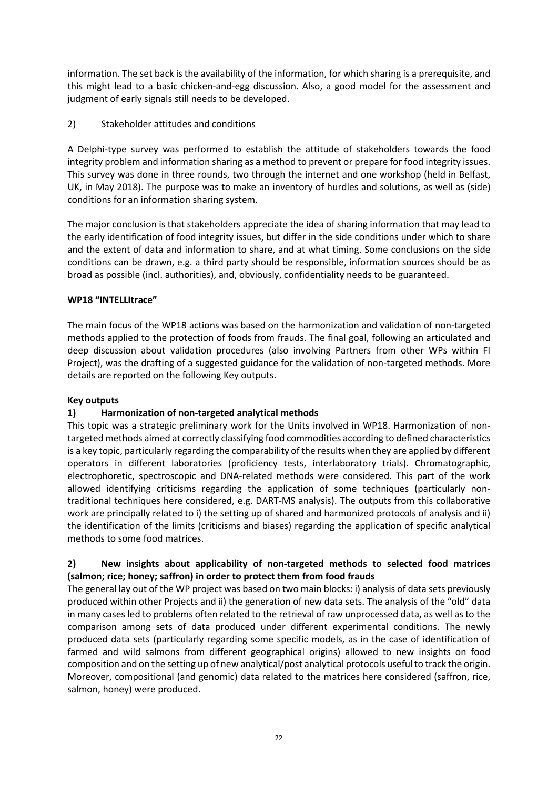information. The set back is the availability of the information, for which sharing is a prerequisite, and this might lead to a basic chicken-and-egg discussion. Also, a good model for the assessment and judgment of early signals still needs to be developed.

2) Stakeholder attitudes and conditions

A Delphi-type survey was performed to establish the attitude of stakeholders towards the food integrity problem and information sharing as a method to prevent or prepare for food integrity issues. This survey was done in three rounds, two through the internet and one workshop (held in Belfast, UK, in May 2018). The purpose was to make an inventory of hurdles and solutions, as well as (side) conditions for an information sharing system.

The major conclusion is that stakeholders appreciate the idea of sharing information that may lead to the early identification of food integrity issues, but differ in the side conditions under which to share and the extent of data and information to share, and at what timing. Some conclusions on the side conditions can be drawn, e.g. a third party should be responsible, information sources should be as broad as possible (incl. authorities), and, obviously, confidentiality needs to be guaranteed.

# **WP18 "INTELLItrace"**

The main focus of the WP18 actions was based on the harmonization and validation of non-targeted methods applied to the protection of foods from frauds. The final goal, following an articulated and deep discussion about validation procedures (also involving Partners from other WPs within FI Project), was the drafting of a suggested guidance for the validation of non-targeted methods. More details are reported on the following Key outputs.

# **Key outputs**

# **1) Harmonization of non-targeted analytical methods**

This topic was a strategic preliminary work for the Units involved in WP18. Harmonization of nontargeted methods aimed at correctly classifying food commodities according to defined characteristics is a key topic, particularly regarding the comparability of the results when they are applied by different operators in different laboratories (proficiency tests, interlaboratory trials). Chromatographic, electrophoretic, spectroscopic and DNA-related methods were considered. This part of the work allowed identifying criticisms regarding the application of some techniques (particularly nontraditional techniques here considered, e.g. DART-MS analysis). The outputs from this collaborative work are principally related to i) the setting up of shared and harmonized protocols of analysis and ii) the identification of the limits (criticisms and biases) regarding the application of specific analytical methods to some food matrices.

# **2) New insights about applicability of non-targeted methods to selected food matrices (salmon; rice; honey; saffron) in order to protect them from food frauds**

The general lay out of the WP project was based on two main blocks: i) analysis of data sets previously produced within other Projects and ii) the generation of new data sets. The analysis of the "old" data in many cases led to problems often related to the retrieval of raw unprocessed data, as well as to the comparison among sets of data produced under different experimental conditions. The newly produced data sets (particularly regarding some specific models, as in the case of identification of farmed and wild salmons from different geographical origins) allowed to new insights on food composition and on the setting up of new analytical/post analytical protocols useful to track the origin. Moreover, compositional (and genomic) data related to the matrices here considered (saffron, rice, salmon, honey) were produced.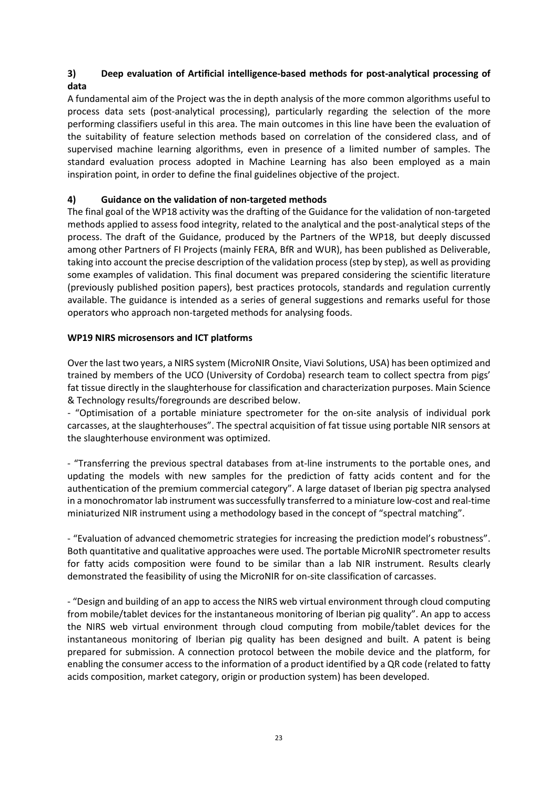# **3) Deep evaluation of Artificial intelligence-based methods for post-analytical processing of data**

A fundamental aim of the Project was the in depth analysis of the more common algorithms useful to process data sets (post-analytical processing), particularly regarding the selection of the more performing classifiers useful in this area. The main outcomes in this line have been the evaluation of the suitability of feature selection methods based on correlation of the considered class, and of supervised machine learning algorithms, even in presence of a limited number of samples. The standard evaluation process adopted in Machine Learning has also been employed as a main inspiration point, in order to define the final guidelines objective of the project.

# **4) Guidance on the validation of non-targeted methods**

The final goal of the WP18 activity was the drafting of the Guidance for the validation of non-targeted methods applied to assess food integrity, related to the analytical and the post-analytical steps of the process. The draft of the Guidance, produced by the Partners of the WP18, but deeply discussed among other Partners of FI Projects (mainly FERA, BfR and WUR), has been published as Deliverable, taking into account the precise description of the validation process (step by step), as well as providing some examples of validation. This final document was prepared considering the scientific literature (previously published position papers), best practices protocols, standards and regulation currently available. The guidance is intended as a series of general suggestions and remarks useful for those operators who approach non-targeted methods for analysing foods.

# **WP19 NIRS microsensors and ICT platforms**

Over the last two years, a NIRS system (MicroNIR Onsite, Viavi Solutions, USA) has been optimized and trained by members of the UCO (University of Cordoba) research team to collect spectra from pigs' fat tissue directly in the slaughterhouse for classification and characterization purposes. Main Science & Technology results/foregrounds are described below.

- "Optimisation of a portable miniature spectrometer for the on-site analysis of individual pork carcasses, at the slaughterhouses". The spectral acquisition of fat tissue using portable NIR sensors at the slaughterhouse environment was optimized.

- "Transferring the previous spectral databases from at-line instruments to the portable ones, and updating the models with new samples for the prediction of fatty acids content and for the authentication of the premium commercial category". A large dataset of Iberian pig spectra analysed in a monochromator lab instrument was successfully transferred to a miniature low-cost and real-time miniaturized NIR instrument using a methodology based in the concept of "spectral matching".

- "Evaluation of advanced chemometric strategies for increasing the prediction model's robustness". Both quantitative and qualitative approaches were used. The portable MicroNIR spectrometer results for fatty acids composition were found to be similar than a lab NIR instrument. Results clearly demonstrated the feasibility of using the MicroNIR for on-site classification of carcasses.

- "Design and building of an app to access the NIRS web virtual environment through cloud computing from mobile/tablet devices for the instantaneous monitoring of Iberian pig quality". An app to access the NIRS web virtual environment through cloud computing from mobile/tablet devices for the instantaneous monitoring of Iberian pig quality has been designed and built. A patent is being prepared for submission. A connection protocol between the mobile device and the platform, for enabling the consumer access to the information of a product identified by a QR code (related to fatty acids composition, market category, origin or production system) has been developed.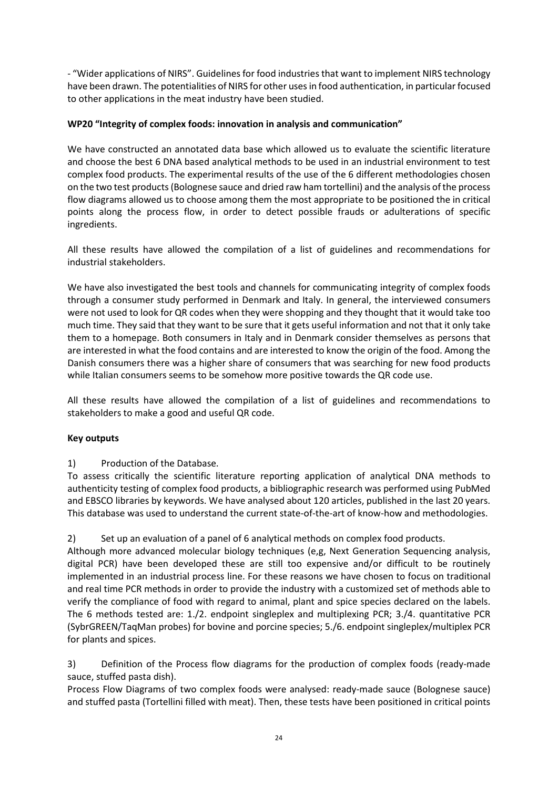- "Wider applications of NIRS". Guidelines for food industries that want to implement NIRS technology have been drawn. The potentialities of NIRS for other uses in food authentication, in particular focused to other applications in the meat industry have been studied.

# **WP20 "Integrity of complex foods: innovation in analysis and communication"**

We have constructed an annotated data base which allowed us to evaluate the scientific literature and choose the best 6 DNA based analytical methods to be used in an industrial environment to test complex food products. The experimental results of the use of the 6 different methodologies chosen on the two test products (Bolognese sauce and dried raw ham tortellini) and the analysis of the process flow diagrams allowed us to choose among them the most appropriate to be positioned the in critical points along the process flow, in order to detect possible frauds or adulterations of specific ingredients.

All these results have allowed the compilation of a list of guidelines and recommendations for industrial stakeholders.

We have also investigated the best tools and channels for communicating integrity of complex foods through a consumer study performed in Denmark and Italy. In general, the interviewed consumers were not used to look for QR codes when they were shopping and they thought that it would take too much time. They said that they want to be sure that it gets useful information and not that it only take them to a homepage. Both consumers in Italy and in Denmark consider themselves as persons that are interested in what the food contains and are interested to know the origin of the food. Among the Danish consumers there was a higher share of consumers that was searching for new food products while Italian consumers seems to be somehow more positive towards the QR code use.

All these results have allowed the compilation of a list of guidelines and recommendations to stakeholders to make a good and useful QR code.

#### **Key outputs**

# 1) Production of the Database.

To assess critically the scientific literature reporting application of analytical DNA methods to authenticity testing of complex food products, a bibliographic research was performed using PubMed and EBSCO libraries by keywords. We have analysed about 120 articles, published in the last 20 years. This database was used to understand the current state-of-the-art of know-how and methodologies.

2) Set up an evaluation of a panel of 6 analytical methods on complex food products.

Although more advanced molecular biology techniques (e,g, Next Generation Sequencing analysis, digital PCR) have been developed these are still too expensive and/or difficult to be routinely implemented in an industrial process line. For these reasons we have chosen to focus on traditional and real time PCR methods in order to provide the industry with a customized set of methods able to verify the compliance of food with regard to animal, plant and spice species declared on the labels. The 6 methods tested are: 1./2. endpoint singleplex and multiplexing PCR; 3./4. quantitative PCR (SybrGREEN/TaqMan probes) for bovine and porcine species; 5./6. endpoint singleplex/multiplex PCR for plants and spices.

3) Definition of the Process flow diagrams for the production of complex foods (ready-made sauce, stuffed pasta dish).

Process Flow Diagrams of two complex foods were analysed: ready-made sauce (Bolognese sauce) and stuffed pasta (Tortellini filled with meat). Then, these tests have been positioned in critical points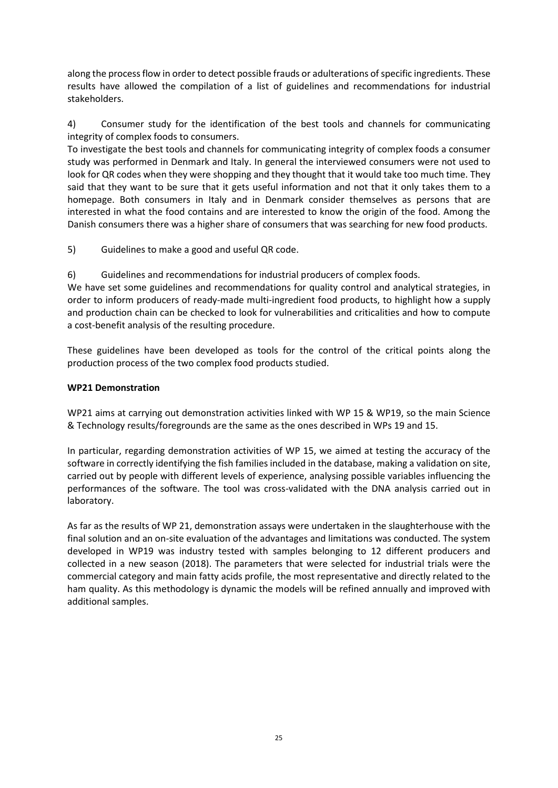along the process flow in order to detect possible frauds or adulterations of specific ingredients. These results have allowed the compilation of a list of guidelines and recommendations for industrial stakeholders.

4) Consumer study for the identification of the best tools and channels for communicating integrity of complex foods to consumers.

To investigate the best tools and channels for communicating integrity of complex foods a consumer study was performed in Denmark and Italy. In general the interviewed consumers were not used to look for QR codes when they were shopping and they thought that it would take too much time. They said that they want to be sure that it gets useful information and not that it only takes them to a homepage. Both consumers in Italy and in Denmark consider themselves as persons that are interested in what the food contains and are interested to know the origin of the food. Among the Danish consumers there was a higher share of consumers that was searching for new food products.

5) Guidelines to make a good and useful QR code.

6) Guidelines and recommendations for industrial producers of complex foods.

We have set some guidelines and recommendations for quality control and analytical strategies, in order to inform producers of ready-made multi-ingredient food products, to highlight how a supply and production chain can be checked to look for vulnerabilities and criticalities and how to compute a cost-benefit analysis of the resulting procedure.

These guidelines have been developed as tools for the control of the critical points along the production process of the two complex food products studied.

#### **WP21 Demonstration**

WP21 aims at carrying out demonstration activities linked with WP 15 & WP19, so the main Science & Technology results/foregrounds are the same as the ones described in WPs 19 and 15.

In particular, regarding demonstration activities of WP 15, we aimed at testing the accuracy of the software in correctly identifying the fish families included in the database, making a validation on site, carried out by people with different levels of experience, analysing possible variables influencing the performances of the software. The tool was cross-validated with the DNA analysis carried out in laboratory.

As far as the results of WP 21, demonstration assays were undertaken in the slaughterhouse with the final solution and an on-site evaluation of the advantages and limitations was conducted. The system developed in WP19 was industry tested with samples belonging to 12 different producers and collected in a new season (2018). The parameters that were selected for industrial trials were the commercial category and main fatty acids profile, the most representative and directly related to the ham quality. As this methodology is dynamic the models will be refined annually and improved with additional samples.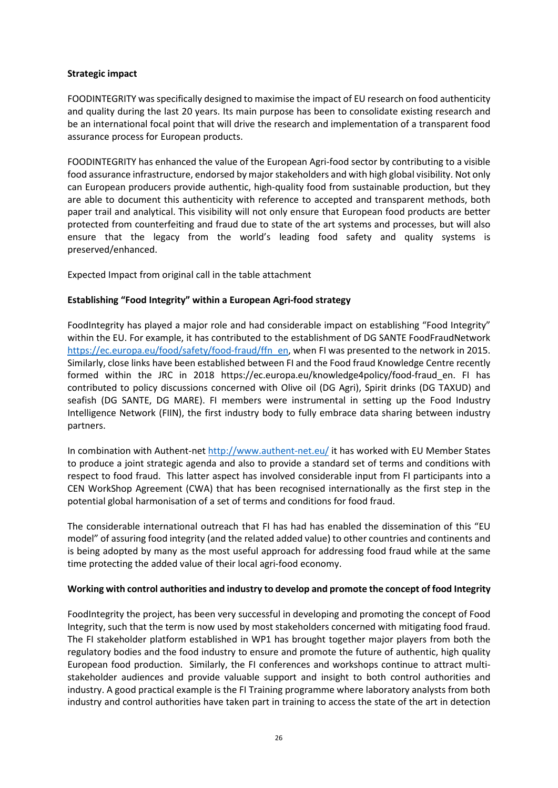#### **Strategic impact**

FOODINTEGRITY was specifically designed to maximise the impact of EU research on food authenticity and quality during the last 20 years. Its main purpose has been to consolidate existing research and be an international focal point that will drive the research and implementation of a transparent food assurance process for European products.

FOODINTEGRITY has enhanced the value of the European Agri-food sector by contributing to a visible food assurance infrastructure, endorsed by major stakeholders and with high global visibility. Not only can European producers provide authentic, high-quality food from sustainable production, but they are able to document this authenticity with reference to accepted and transparent methods, both paper trail and analytical. This visibility will not only ensure that European food products are better protected from counterfeiting and fraud due to state of the art systems and processes, but will also ensure that the legacy from the world's leading food safety and quality systems is preserved/enhanced.

Expected Impact from original call in the table attachment

#### **Establishing "Food Integrity" within a European Agri-food strategy**

FoodIntegrity has played a major role and had considerable impact on establishing "Food Integrity" within the EU. For example, it has contributed to the establishment of DG SANTE FoodFraudNetwork [https://ec.europa.eu/food/safety/food-fraud/ffn\\_en,](https://ec.europa.eu/food/safety/food-fraud/ffn_en) when FI was presented to the network in 2015. Similarly, close links have been established between FI and the Food fraud Knowledge Centre recently formed within the JRC in 2018 https://ec.europa.eu/knowledge4policy/food-fraud\_en. FI has contributed to policy discussions concerned with Olive oil (DG Agri), Spirit drinks (DG TAXUD) and seafish (DG SANTE, DG MARE). FI members were instrumental in setting up the Food Industry Intelligence Network (FIIN), the first industry body to fully embrace data sharing between industry partners.

In combination with Authent-net<http://www.authent-net.eu/> it has worked with EU Member States to produce a joint strategic agenda and also to provide a standard set of terms and conditions with respect to food fraud. This latter aspect has involved considerable input from FI participants into a CEN WorkShop Agreement (CWA) that has been recognised internationally as the first step in the potential global harmonisation of a set of terms and conditions for food fraud.

The considerable international outreach that FI has had has enabled the dissemination of this "EU model" of assuring food integrity (and the related added value) to other countries and continents and is being adopted by many as the most useful approach for addressing food fraud while at the same time protecting the added value of their local agri-food economy.

#### **Working with control authorities and industry to develop and promote the concept of food Integrity**

FoodIntegrity the project, has been very successful in developing and promoting the concept of Food Integrity, such that the term is now used by most stakeholders concerned with mitigating food fraud. The FI stakeholder platform established in WP1 has brought together major players from both the regulatory bodies and the food industry to ensure and promote the future of authentic, high quality European food production. Similarly, the FI conferences and workshops continue to attract multistakeholder audiences and provide valuable support and insight to both control authorities and industry. A good practical example is the FI Training programme where laboratory analysts from both industry and control authorities have taken part in training to access the state of the art in detection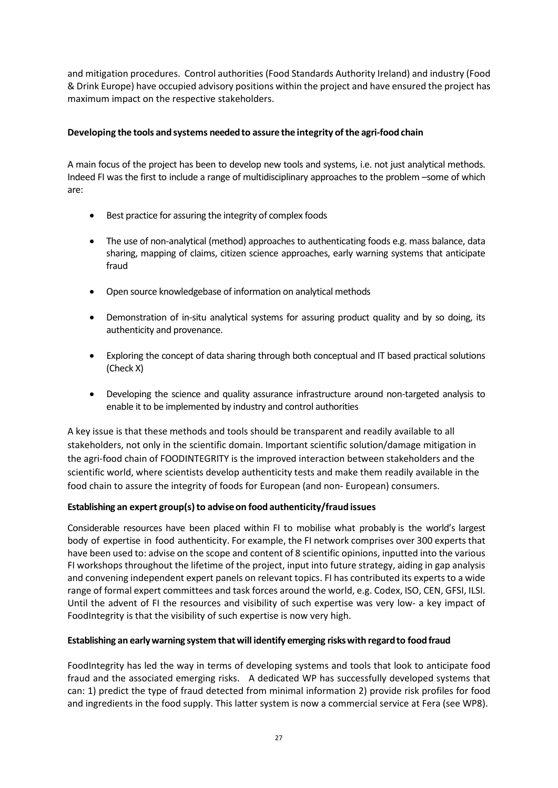and mitigation procedures. Control authorities (Food Standards Authority Ireland) and industry (Food & Drink Europe) have occupied advisory positions within the project and have ensured the project has maximum impact on the respective stakeholders.

# **Developing the tools and systems neededto assure the integrity ofthe agri-food chain**

A main focus of the project has been to develop new tools and systems, i.e. not just analytical methods. Indeed FI was the first to include a range of multidisciplinary approaches to the problem –some of which are:

- Best practice for assuring the integrity of complex foods
- The use of non-analytical (method) approaches to authenticating foods e.g. mass balance, data sharing, mapping of claims, citizen science approaches, early warning systems that anticipate fraud
- Open source knowledgebase of information on analytical methods
- Demonstration of in-situ analytical systems for assuring product quality and by so doing, its authenticity and provenance.
- Exploring the concept of data sharing through both conceptual and IT based practical solutions (Check X)
- Developing the science and quality assurance infrastructure around non-targeted analysis to enable it to be implemented by industry and control authorities

A key issue is that these methods and tools should be transparent and readily available to all stakeholders, not only in the scientific domain. Important scientific solution/damage mitigation in the agri-food chain of FOODINTEGRITY is the improved interaction between stakeholders and the scientific world, where scientists develop authenticity tests and make them readily available in the food chain to assure the integrity of foods for European (and non- European) consumers.

# **Establishing an expert group(s)to adviseon food authenticity/fraud issues**

Considerable resources have been placed within FI to mobilise what probably is the world's largest body of expertise in food authenticity. For example, the FI network comprises over 300 experts that have been used to: advise on the scope and content of 8 scientific opinions, inputted into the various FI workshops throughout the lifetime of the project, input into future strategy, aiding in gap analysis and convening independent expert panels on relevant topics. FI has contributed its experts to a wide range of formal expert committees and task forces around the world, e.g. Codex, ISO, CEN, GFSI, ILSI. Until the advent of FI the resources and visibility of such expertise was very low- a key impact of FoodIntegrity is that the visibility of such expertise is now very high.

# **Establishing an earlywarning system thatwill identify emerging riskswith regardto food fraud**

FoodIntegrity has led the way in terms of developing systems and tools that look to anticipate food fraud and the associated emerging risks. A dedicated WP has successfully developed systems that can: 1) predict the type of fraud detected from minimal information 2) provide risk profiles for food and ingredients in the food supply. This latter system is now a commercial service at Fera (see WP8).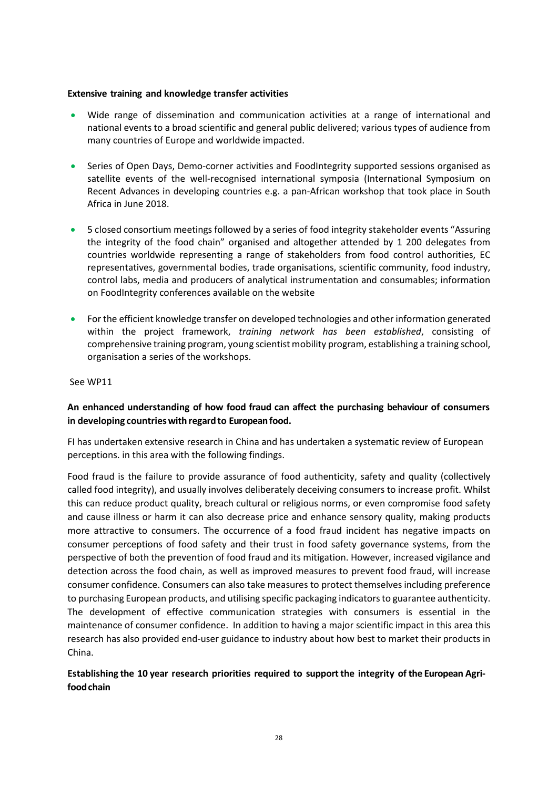#### **Extensive training and knowledge transfer activities**

- Wide range of dissemination and communication activities at a range of international and national events to a broad scientific and general public delivered; various types of audience from many countries of Europe and worldwide impacted.
- Series of Open Days, Demo-corner activities and FoodIntegrity supported sessions organised as satellite events of the well-recognised international symposia (International Symposium on Recent Advances in developing countries e.g. a pan-African workshop that took place in South Africa in June 2018.
- 5 closed consortium meetings followed by a series of food integrity stakeholder events "Assuring the integrity of the food chain" organised and altogether attended by 1 200 delegates from countries worldwide representing a range of stakeholders from food control authorities, EC representatives, governmental bodies, trade organisations, scientific community, food industry, control labs, media and producers of analytical instrumentation and consumables; information on FoodIntegrity conferences available [on](https://secure.fera.defra.gov.uk/foodintegrity/index.cfm?sectionid=3) the website
- For the efficient knowledge transfer on developed technologies and other information generated within the project framework, *training network has been established*, consisting of comprehensive training program, young scientist mobility program, establishing a training school, organisation a series of the workshops.

See WP11

# **An enhanced understanding of how food fraud can affect the purchasing behaviour of consumers in developing countrieswith regardto Europeanfood.**

FI has undertaken extensive research in China and has undertaken a systematic review of European perceptions. in this area with the following findings.

Food fraud is the failure to provide assurance of food authenticity, safety and quality (collectively called food integrity), and usually involves deliberately deceiving consumers to increase profit. Whilst this can reduce product quality, breach cultural or religious norms, or even compromise food safety and cause illness or harm it can also decrease price and enhance sensory quality, making products more attractive to consumers. The occurrence of a food fraud incident has negative impacts on consumer perceptions of food safety and their trust in food safety governance systems, from the perspective of both the prevention of food fraud and its mitigation. However, increased vigilance and detection across the food chain, as well as improved measures to prevent food fraud, will increase consumer confidence. Consumers can also take measures to protect themselves including preference to purchasing European products, and utilising specific packaging indicators to guarantee authenticity. The development of effective communication strategies with consumers is essential in the maintenance of consumer confidence. In addition to having a major scientific impact in this area this research has also provided end-user guidance to industry about how best to market their products in China.

# **Establishing the 10 year research priorities required to support the integrity of the European Agrifoodchain**